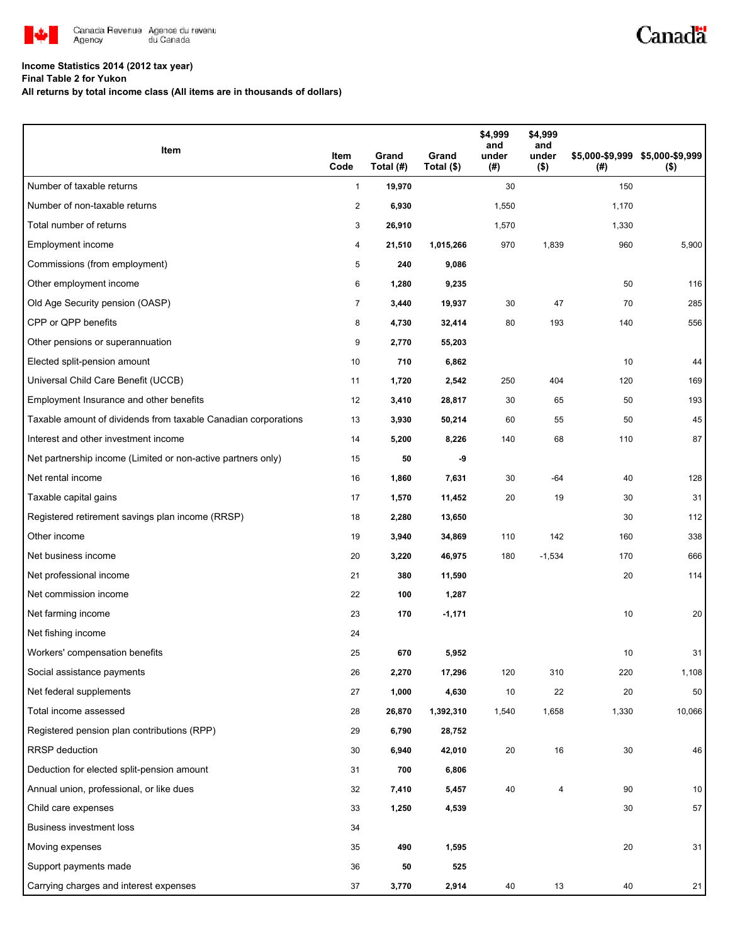

## **Income Statistics 2014 (2012 tax year)**

**Final Table 2 for Yukon**

**All returns by total income class (All items are in thousands of dollars)**

| Item                                                           | Item<br>Code            | Grand<br>Total (#) | Grand<br>Total (\$) | \$4,999<br>and<br>under<br>$(\#)$ | \$4,999<br>and<br>under<br>$($ \$) | (#)   | \$5,000-\$9,999 \$5,000-\$9,999<br>$($ \$) |
|----------------------------------------------------------------|-------------------------|--------------------|---------------------|-----------------------------------|------------------------------------|-------|--------------------------------------------|
| Number of taxable returns                                      | $\mathbf{1}$            | 19,970             |                     | 30                                |                                    | 150   |                                            |
| Number of non-taxable returns                                  | $\overline{\mathbf{c}}$ | 6,930              |                     | 1,550                             |                                    | 1,170 |                                            |
| Total number of returns                                        | 3                       | 26,910             |                     | 1,570                             |                                    | 1,330 |                                            |
| Employment income                                              | 4                       | 21,510             | 1,015,266           | 970                               | 1,839                              | 960   | 5,900                                      |
| Commissions (from employment)                                  | 5                       | 240                | 9,086               |                                   |                                    |       |                                            |
| Other employment income                                        | 6                       | 1,280              | 9,235               |                                   |                                    | 50    | 116                                        |
| Old Age Security pension (OASP)                                | $\overline{7}$          | 3,440              | 19,937              | 30                                | 47                                 | 70    | 285                                        |
| CPP or QPP benefits                                            | 8                       | 4,730              | 32,414              | 80                                | 193                                | 140   | 556                                        |
| Other pensions or superannuation                               | 9                       | 2,770              | 55,203              |                                   |                                    |       |                                            |
| Elected split-pension amount                                   | 10                      | 710                | 6,862               |                                   |                                    | 10    | 44                                         |
| Universal Child Care Benefit (UCCB)                            | 11                      | 1,720              | 2,542               | 250                               | 404                                | 120   | 169                                        |
| Employment Insurance and other benefits                        | 12                      | 3,410              | 28,817              | 30                                | 65                                 | 50    | 193                                        |
| Taxable amount of dividends from taxable Canadian corporations | 13                      | 3,930              | 50,214              | 60                                | 55                                 | 50    | 45                                         |
| Interest and other investment income                           | 14                      | 5,200              | 8,226               | 140                               | 68                                 | 110   | 87                                         |
| Net partnership income (Limited or non-active partners only)   | 15                      | 50                 | -9                  |                                   |                                    |       |                                            |
| Net rental income                                              | 16                      | 1,860              | 7,631               | 30                                | -64                                | 40    | 128                                        |
| Taxable capital gains                                          | 17                      | 1,570              | 11,452              | 20                                | 19                                 | 30    | 31                                         |
| Registered retirement savings plan income (RRSP)               | 18                      | 2,280              | 13,650              |                                   |                                    | 30    | 112                                        |
| Other income                                                   | 19                      | 3,940              | 34,869              | 110                               | 142                                | 160   | 338                                        |
| Net business income                                            | 20                      | 3,220              | 46,975              | 180                               | $-1,534$                           | 170   | 666                                        |
| Net professional income                                        | 21                      | 380                | 11,590              |                                   |                                    | 20    | 114                                        |
| Net commission income                                          | 22                      | 100                | 1,287               |                                   |                                    |       |                                            |
| Net farming income                                             | 23                      | 170                | $-1,171$            |                                   |                                    | 10    | 20                                         |
| Net fishing income                                             | 24                      |                    |                     |                                   |                                    |       |                                            |
| Workers' compensation benefits                                 | 25                      | 670                | 5,952               |                                   |                                    | 10    | 31                                         |
| Social assistance payments                                     | 26                      | 2,270              | 17,296              | 120                               | 310                                | 220   | 1,108                                      |
| Net federal supplements                                        | 27                      | 1,000              | 4,630               | 10                                | 22                                 | 20    | 50                                         |
| Total income assessed                                          | 28                      | 26,870             | 1,392,310           | 1,540                             | 1,658                              | 1,330 | 10,066                                     |
| Registered pension plan contributions (RPP)                    | 29                      | 6,790              | 28,752              |                                   |                                    |       |                                            |
| <b>RRSP</b> deduction                                          | 30                      | 6,940              | 42,010              | 20                                | 16                                 | 30    | 46                                         |
| Deduction for elected split-pension amount                     | 31                      | 700                | 6,806               |                                   |                                    |       |                                            |
| Annual union, professional, or like dues                       | 32                      | 7,410              | 5,457               | 40                                | 4                                  | 90    | 10                                         |
| Child care expenses                                            | 33                      | 1,250              | 4,539               |                                   |                                    | 30    | 57                                         |
| Business investment loss                                       | 34                      |                    |                     |                                   |                                    |       |                                            |
| Moving expenses                                                | 35                      | 490                | 1,595               |                                   |                                    | 20    | 31                                         |
| Support payments made                                          | 36                      | 50                 | 525                 |                                   |                                    |       |                                            |
| Carrying charges and interest expenses                         | 37                      | 3,770              | 2,914               | 40                                | 13                                 | 40    | 21                                         |

Canadä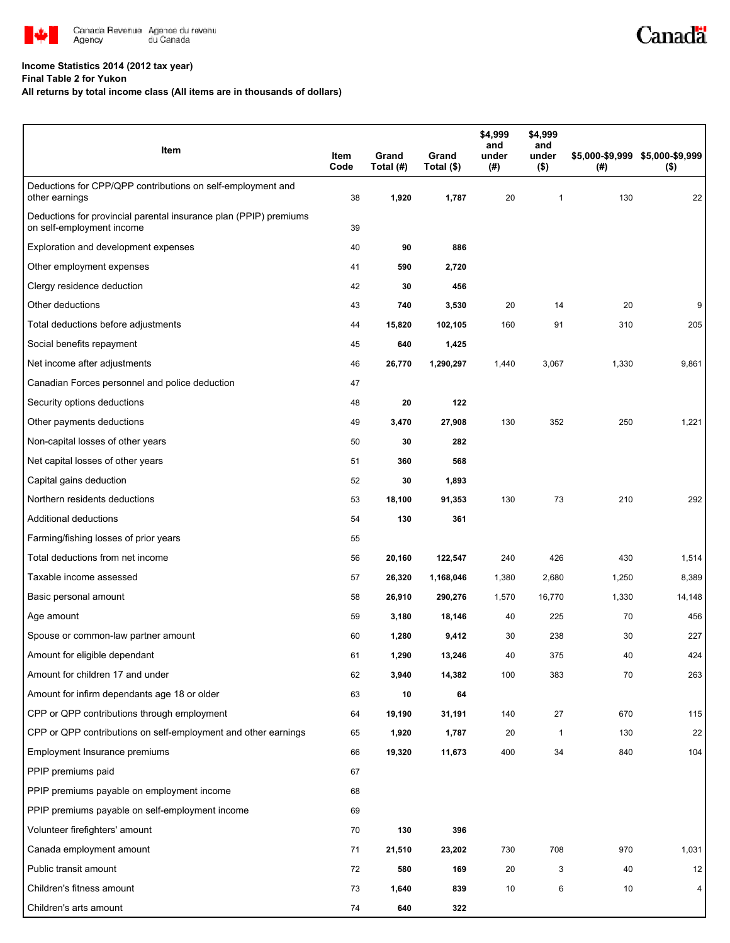

## **Income Statistics 2014 (2012 tax year)**

**Final Table 2 for Yukon**

## **All returns by total income class (All items are in thousands of dollars)**

| Item                                                                                           | Item<br>Code | Grand<br>Total (#) | Grand<br>Total (\$) | \$4,999<br>and<br>under<br>$($ #) | \$4,999<br>and<br>under<br>$($ \$) | \$5,000-\$9,999 \$5,000-\$9,999<br>(#) | $($ \$) |
|------------------------------------------------------------------------------------------------|--------------|--------------------|---------------------|-----------------------------------|------------------------------------|----------------------------------------|---------|
| Deductions for CPP/QPP contributions on self-employment and<br>other earnings                  | 38           | 1,920              | 1,787               | 20                                | $\mathbf{1}$                       | 130                                    | 22      |
| Deductions for provincial parental insurance plan (PPIP) premiums<br>on self-employment income | 39           |                    |                     |                                   |                                    |                                        |         |
| Exploration and development expenses                                                           | 40           | 90                 | 886                 |                                   |                                    |                                        |         |
| Other employment expenses                                                                      | 41           | 590                | 2,720               |                                   |                                    |                                        |         |
| Clergy residence deduction                                                                     | 42           | 30                 | 456                 |                                   |                                    |                                        |         |
| Other deductions                                                                               | 43           | 740                | 3,530               | 20                                | 14                                 | 20                                     | 9       |
| Total deductions before adjustments                                                            | 44           | 15,820             | 102,105             | 160                               | 91                                 | 310                                    | 205     |
| Social benefits repayment                                                                      | 45           | 640                | 1,425               |                                   |                                    |                                        |         |
| Net income after adjustments                                                                   | 46           | 26,770             | 1,290,297           | 1,440                             | 3,067                              | 1,330                                  | 9,861   |
| Canadian Forces personnel and police deduction                                                 | 47           |                    |                     |                                   |                                    |                                        |         |
| Security options deductions                                                                    | 48           | 20                 | 122                 |                                   |                                    |                                        |         |
| Other payments deductions                                                                      | 49           | 3,470              | 27,908              | 130                               | 352                                | 250                                    | 1,221   |
| Non-capital losses of other years                                                              | 50           | 30                 | 282                 |                                   |                                    |                                        |         |
| Net capital losses of other years                                                              | 51           | 360                | 568                 |                                   |                                    |                                        |         |
| Capital gains deduction                                                                        | 52           | 30                 | 1,893               |                                   |                                    |                                        |         |
| Northern residents deductions                                                                  | 53           | 18,100             | 91,353              | 130                               | 73                                 | 210                                    | 292     |
| Additional deductions                                                                          | 54           | 130                | 361                 |                                   |                                    |                                        |         |
| Farming/fishing losses of prior years                                                          | 55           |                    |                     |                                   |                                    |                                        |         |
| Total deductions from net income                                                               | 56           | 20,160             | 122,547             | 240                               | 426                                | 430                                    | 1,514   |
| Taxable income assessed                                                                        | 57           | 26,320             | 1,168,046           | 1,380                             | 2,680                              | 1,250                                  | 8,389   |
| Basic personal amount                                                                          | 58           | 26,910             | 290,276             | 1,570                             | 16,770                             | 1,330                                  | 14,148  |
| Age amount                                                                                     | 59           | 3,180              | 18,146              | 40                                | 225                                | 70                                     | 456     |
| Spouse or common-law partner amount                                                            | 60           | 1,280              | 9,412               | 30                                | 238                                | 30                                     | 227     |
| Amount for eligible dependant                                                                  | 61           | 1,290              | 13,246              | 40                                | 375                                | 40                                     | 424     |
| Amount for children 17 and under                                                               | 62           | 3,940              | 14,382              | 100                               | 383                                | 70                                     | 263     |
| Amount for infirm dependants age 18 or older                                                   | 63           | 10                 | 64                  |                                   |                                    |                                        |         |
| CPP or QPP contributions through employment                                                    | 64           | 19,190             | 31,191              | 140                               | 27                                 | 670                                    | 115     |
| CPP or QPP contributions on self-employment and other earnings                                 | 65           | 1,920              | 1,787               | 20                                | $\mathbf{1}$                       | 130                                    | 22      |
| Employment Insurance premiums                                                                  | 66           | 19,320             | 11,673              | 400                               | 34                                 | 840                                    | 104     |
| PPIP premiums paid                                                                             | 67           |                    |                     |                                   |                                    |                                        |         |
| PPIP premiums payable on employment income                                                     | 68           |                    |                     |                                   |                                    |                                        |         |
| PPIP premiums payable on self-employment income                                                | 69           |                    |                     |                                   |                                    |                                        |         |
| Volunteer firefighters' amount                                                                 | 70           | 130                | 396                 |                                   |                                    |                                        |         |
| Canada employment amount                                                                       | 71           | 21,510             | 23,202              | 730                               | 708                                | 970                                    | 1,031   |
| Public transit amount                                                                          | 72           | 580                | 169                 | 20                                | 3                                  | 40                                     | 12      |
| Children's fitness amount                                                                      | 73           | 1,640              | 839                 | 10                                | 6                                  | 10                                     | 4       |
| Children's arts amount                                                                         | 74           | 640                | 322                 |                                   |                                    |                                        |         |

Canadä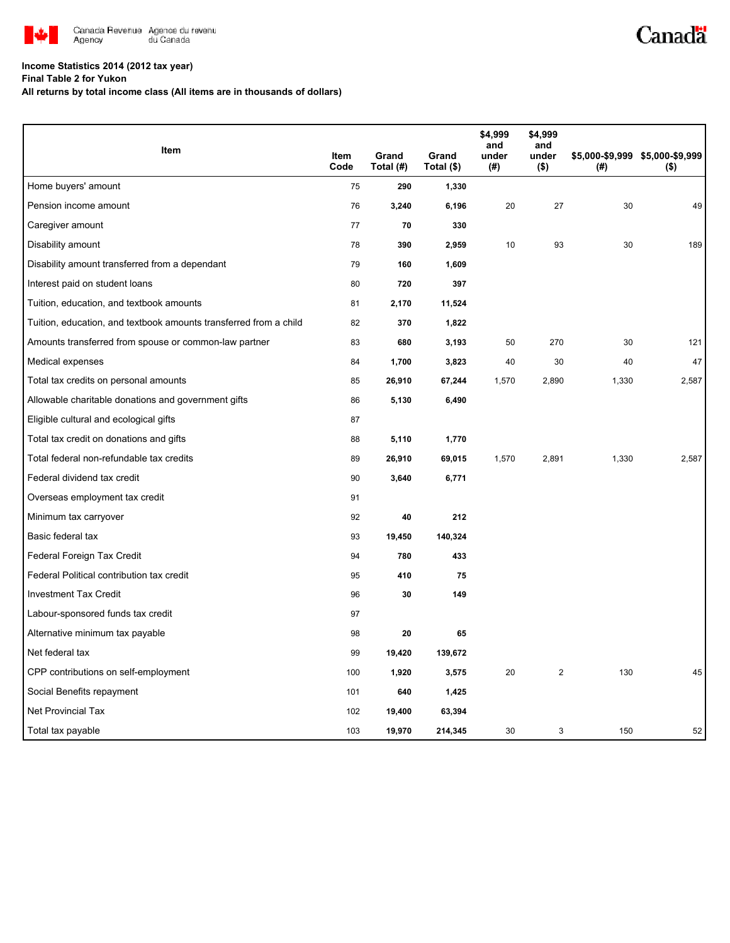

## **Income Statistics 2014 (2012 tax year)**

**Final Table 2 for Yukon**

**All returns by total income class (All items are in thousands of dollars)**

| Item                                                              |              |                    |                     | \$4,999<br>and | \$4,999<br>and   |       |                                            |
|-------------------------------------------------------------------|--------------|--------------------|---------------------|----------------|------------------|-------|--------------------------------------------|
|                                                                   | Item<br>Code | Grand<br>Total (#) | Grand<br>Total (\$) | under<br>(#)   | under<br>$($ \$) | (#)   | \$5,000-\$9,999 \$5,000-\$9,999<br>$($ \$) |
| Home buyers' amount                                               | 75           | 290                | 1,330               |                |                  |       |                                            |
| Pension income amount                                             | 76           | 3,240              | 6,196               | 20             | 27               | 30    | 49                                         |
| Caregiver amount                                                  | 77           | 70                 | 330                 |                |                  |       |                                            |
| Disability amount                                                 | 78           | 390                | 2,959               | 10             | 93               | 30    | 189                                        |
| Disability amount transferred from a dependant                    | 79           | 160                | 1,609               |                |                  |       |                                            |
| Interest paid on student loans                                    | 80           | 720                | 397                 |                |                  |       |                                            |
| Tuition, education, and textbook amounts                          | 81           | 2,170              | 11,524              |                |                  |       |                                            |
| Tuition, education, and textbook amounts transferred from a child | 82           | 370                | 1,822               |                |                  |       |                                            |
| Amounts transferred from spouse or common-law partner             | 83           | 680                | 3,193               | 50             | 270              | 30    | 121                                        |
| Medical expenses                                                  | 84           | 1,700              | 3,823               | 40             | 30               | 40    | 47                                         |
| Total tax credits on personal amounts                             | 85           | 26,910             | 67,244              | 1,570          | 2,890            | 1,330 | 2,587                                      |
| Allowable charitable donations and government gifts               | 86           | 5,130              | 6,490               |                |                  |       |                                            |
| Eligible cultural and ecological gifts                            | 87           |                    |                     |                |                  |       |                                            |
| Total tax credit on donations and gifts                           | 88           | 5,110              | 1,770               |                |                  |       |                                            |
| Total federal non-refundable tax credits                          | 89           | 26,910             | 69,015              | 1,570          | 2,891            | 1,330 | 2,587                                      |
| Federal dividend tax credit                                       | 90           | 3,640              | 6,771               |                |                  |       |                                            |
| Overseas employment tax credit                                    | 91           |                    |                     |                |                  |       |                                            |
| Minimum tax carryover                                             | 92           | 40                 | 212                 |                |                  |       |                                            |
| Basic federal tax                                                 | 93           | 19,450             | 140,324             |                |                  |       |                                            |
| Federal Foreign Tax Credit                                        | 94           | 780                | 433                 |                |                  |       |                                            |
| Federal Political contribution tax credit                         | 95           | 410                | 75                  |                |                  |       |                                            |
| <b>Investment Tax Credit</b>                                      | 96           | 30                 | 149                 |                |                  |       |                                            |
| Labour-sponsored funds tax credit                                 | 97           |                    |                     |                |                  |       |                                            |
| Alternative minimum tax payable                                   | 98           | 20                 | 65                  |                |                  |       |                                            |
| Net federal tax                                                   | 99           | 19,420             | 139,672             |                |                  |       |                                            |
| CPP contributions on self-employment                              | 100          | 1,920              | 3,575               | 20             | $\mathbf{2}$     | 130   | 45                                         |
| Social Benefits repayment                                         | 101          | 640                | 1,425               |                |                  |       |                                            |
| Net Provincial Tax                                                | 102          | 19,400             | 63,394              |                |                  |       |                                            |
| Total tax payable                                                 | 103          | 19,970             | 214,345             | 30             | 3                | 150   | 52                                         |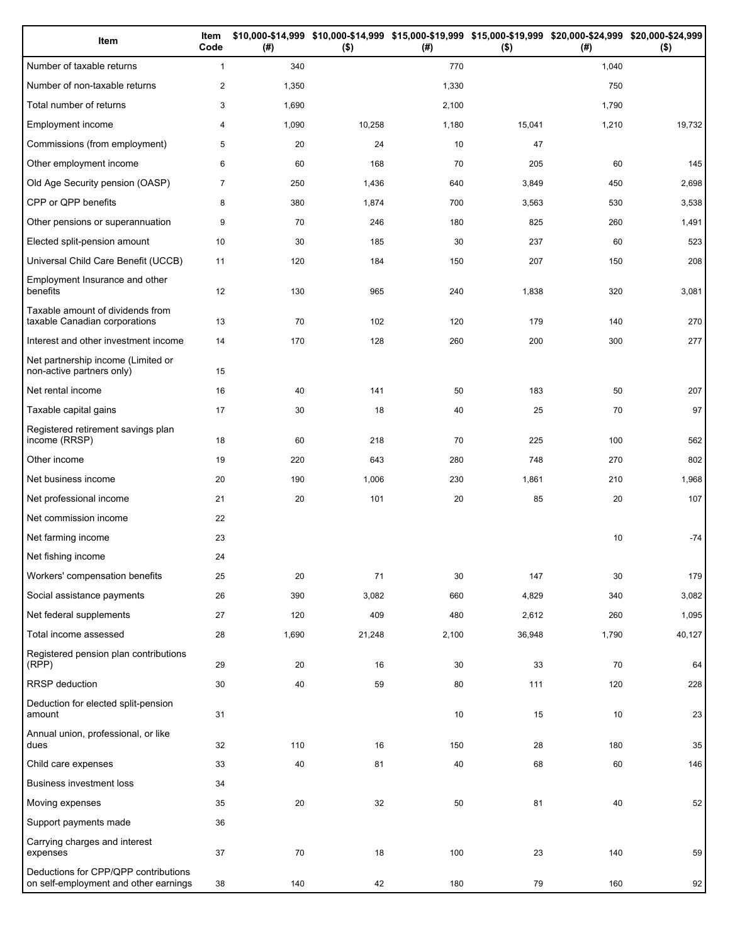| Item                                                                          | Item<br>Code   | (#)   | $($ \$) | (#)   | \$10,000-\$14,999 \$10,000-\$14,999 \$15,000-\$19,999 \$15,000-\$19,999 \$20,000-\$24,999 \$20,000-\$24,999<br>$($ \$) | (#)   | $($ \$) |
|-------------------------------------------------------------------------------|----------------|-------|---------|-------|------------------------------------------------------------------------------------------------------------------------|-------|---------|
| Number of taxable returns                                                     | $\mathbf{1}$   | 340   |         | 770   |                                                                                                                        | 1,040 |         |
| Number of non-taxable returns                                                 | $\overline{2}$ | 1,350 |         | 1,330 |                                                                                                                        | 750   |         |
| Total number of returns                                                       | 3              | 1,690 |         | 2,100 |                                                                                                                        | 1,790 |         |
| Employment income                                                             | 4              | 1,090 | 10,258  | 1,180 | 15,041                                                                                                                 | 1,210 | 19,732  |
| Commissions (from employment)                                                 | 5              | 20    | 24      | 10    | 47                                                                                                                     |       |         |
| Other employment income                                                       | 6              | 60    | 168     | 70    | 205                                                                                                                    | 60    | 145     |
| Old Age Security pension (OASP)                                               | $\overline{7}$ | 250   | 1,436   | 640   | 3,849                                                                                                                  | 450   | 2,698   |
| CPP or QPP benefits                                                           | 8              | 380   | 1,874   | 700   | 3,563                                                                                                                  | 530   | 3,538   |
| Other pensions or superannuation                                              | 9              | 70    | 246     | 180   | 825                                                                                                                    | 260   | 1,491   |
| Elected split-pension amount                                                  | 10             | 30    | 185     | 30    | 237                                                                                                                    | 60    | 523     |
| Universal Child Care Benefit (UCCB)                                           | 11             | 120   | 184     | 150   | 207                                                                                                                    | 150   | 208     |
| Employment Insurance and other<br>benefits                                    | 12             | 130   | 965     | 240   | 1,838                                                                                                                  | 320   | 3,081   |
| Taxable amount of dividends from<br>taxable Canadian corporations             | 13             | 70    | 102     | 120   | 179                                                                                                                    | 140   | 270     |
| Interest and other investment income                                          | 14             | 170   | 128     | 260   | 200                                                                                                                    | 300   | 277     |
| Net partnership income (Limited or<br>non-active partners only)               | 15             |       |         |       |                                                                                                                        |       |         |
| Net rental income                                                             | 16             | 40    | 141     | 50    | 183                                                                                                                    | 50    | 207     |
| Taxable capital gains                                                         | 17             | 30    | 18      | 40    | 25                                                                                                                     | 70    | 97      |
| Registered retirement savings plan<br>income (RRSP)                           | 18             | 60    | 218     | 70    | 225                                                                                                                    | 100   | 562     |
| Other income                                                                  | 19             | 220   | 643     | 280   | 748                                                                                                                    | 270   | 802     |
| Net business income                                                           | 20             | 190   | 1,006   | 230   | 1,861                                                                                                                  | 210   | 1,968   |
| Net professional income                                                       | 21             | 20    | 101     | 20    | 85                                                                                                                     | 20    | 107     |
| Net commission income                                                         | 22             |       |         |       |                                                                                                                        |       |         |
| Net farming income                                                            | 23             |       |         |       |                                                                                                                        | 10    | $-74$   |
| Net fishing income                                                            | 24             |       |         |       |                                                                                                                        |       |         |
| Workers' compensation benefits                                                | 25             | 20    | 71      | 30    | 147                                                                                                                    | 30    | 179     |
| Social assistance payments                                                    | 26             | 390   | 3,082   | 660   | 4,829                                                                                                                  | 340   | 3,082   |
| Net federal supplements                                                       | 27             | 120   | 409     | 480   | 2,612                                                                                                                  | 260   | 1,095   |
| Total income assessed                                                         | 28             | 1,690 | 21,248  | 2,100 | 36,948                                                                                                                 | 1,790 | 40,127  |
| Registered pension plan contributions<br>(RPP)                                | 29             | 20    | 16      | 30    | 33                                                                                                                     | 70    | 64      |
| RRSP deduction                                                                | 30             | 40    | 59      | 80    | 111                                                                                                                    | 120   | 228     |
| Deduction for elected split-pension<br>amount                                 | 31             |       |         | 10    | 15                                                                                                                     | 10    | 23      |
| Annual union, professional, or like<br>dues                                   | 32             | 110   | 16      | 150   | 28                                                                                                                     | 180   | 35      |
| Child care expenses                                                           | 33             | 40    | 81      | 40    | 68                                                                                                                     | 60    | 146     |
| <b>Business investment loss</b>                                               | 34             |       |         |       |                                                                                                                        |       |         |
| Moving expenses                                                               | 35             | 20    | 32      | 50    | 81                                                                                                                     | 40    | 52      |
| Support payments made                                                         | 36             |       |         |       |                                                                                                                        |       |         |
| Carrying charges and interest<br>expenses                                     | 37             | 70    | 18      | 100   | 23                                                                                                                     | 140   | 59      |
| Deductions for CPP/QPP contributions<br>on self-employment and other earnings | 38             | 140   | 42      | 180   | 79                                                                                                                     | 160   | 92      |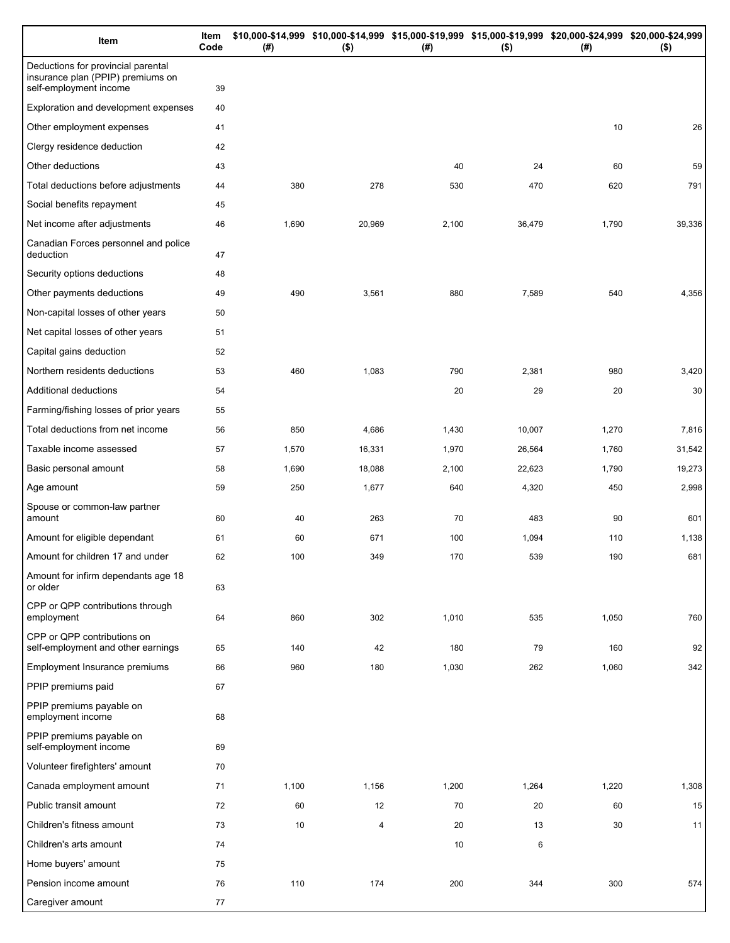| Item                                                                                              | Item<br>Code | (# )  | \$10,000-\$14,999 \$10,000-\$14,999 \$15,000-\$19,999 \$15,000-\$19,999 \$20,000-\$24,999 \$20,000-\$24,999<br>$($ \$) | (#)   | $($ \$) | (# )  | $($ \$) |
|---------------------------------------------------------------------------------------------------|--------------|-------|------------------------------------------------------------------------------------------------------------------------|-------|---------|-------|---------|
| Deductions for provincial parental<br>insurance plan (PPIP) premiums on<br>self-employment income | 39           |       |                                                                                                                        |       |         |       |         |
| Exploration and development expenses                                                              | 40           |       |                                                                                                                        |       |         |       |         |
| Other employment expenses                                                                         | 41           |       |                                                                                                                        |       |         | 10    | 26      |
| Clergy residence deduction                                                                        | 42           |       |                                                                                                                        |       |         |       |         |
| Other deductions                                                                                  | 43           |       |                                                                                                                        | 40    | 24      | 60    | 59      |
| Total deductions before adjustments                                                               | 44           | 380   | 278                                                                                                                    | 530   | 470     | 620   | 791     |
| Social benefits repayment                                                                         | 45           |       |                                                                                                                        |       |         |       |         |
| Net income after adjustments                                                                      | 46           | 1,690 | 20,969                                                                                                                 | 2,100 | 36,479  | 1,790 | 39,336  |
| Canadian Forces personnel and police<br>deduction                                                 | 47           |       |                                                                                                                        |       |         |       |         |
| Security options deductions                                                                       | 48           |       |                                                                                                                        |       |         |       |         |
| Other payments deductions                                                                         | 49           | 490   | 3,561                                                                                                                  | 880   | 7,589   | 540   | 4,356   |
| Non-capital losses of other years                                                                 | 50           |       |                                                                                                                        |       |         |       |         |
| Net capital losses of other years                                                                 | 51           |       |                                                                                                                        |       |         |       |         |
| Capital gains deduction                                                                           | 52           |       |                                                                                                                        |       |         |       |         |
| Northern residents deductions                                                                     | 53           | 460   | 1,083                                                                                                                  | 790   | 2,381   | 980   | 3,420   |
| Additional deductions                                                                             | 54           |       |                                                                                                                        | 20    | 29      | 20    | 30      |
| Farming/fishing losses of prior years                                                             | 55           |       |                                                                                                                        |       |         |       |         |
| Total deductions from net income                                                                  | 56           | 850   | 4,686                                                                                                                  | 1,430 | 10,007  | 1,270 | 7,816   |
| Taxable income assessed                                                                           | 57           | 1,570 | 16,331                                                                                                                 | 1,970 | 26,564  | 1,760 | 31,542  |
| Basic personal amount                                                                             | 58           | 1,690 | 18,088                                                                                                                 | 2,100 | 22,623  | 1,790 | 19,273  |
| Age amount                                                                                        | 59           | 250   | 1,677                                                                                                                  | 640   | 4,320   | 450   | 2,998   |
| Spouse or common-law partner<br>amount                                                            | 60           | 40    | 263                                                                                                                    | 70    | 483     | 90    | 601     |
| Amount for eligible dependant                                                                     | 61           | 60    | 671                                                                                                                    | 100   | 1,094   | 110   | 1,138   |
| Amount for children 17 and under                                                                  | 62           | 100   | 349                                                                                                                    | 170   | 539     | 190   | 681     |
| Amount for infirm dependants age 18<br>or older                                                   | 63           |       |                                                                                                                        |       |         |       |         |
| CPP or QPP contributions through<br>employment                                                    | 64           | 860   | 302                                                                                                                    | 1,010 | 535     | 1,050 | 760     |
| CPP or QPP contributions on<br>self-employment and other earnings                                 | 65           | 140   | 42                                                                                                                     | 180   | 79      | 160   | 92      |
| Employment Insurance premiums                                                                     | 66           | 960   | 180                                                                                                                    | 1,030 | 262     | 1,060 | 342     |
| PPIP premiums paid                                                                                | 67           |       |                                                                                                                        |       |         |       |         |
| PPIP premiums payable on<br>employment income                                                     | 68           |       |                                                                                                                        |       |         |       |         |
| PPIP premiums payable on<br>self-employment income                                                | 69           |       |                                                                                                                        |       |         |       |         |
| Volunteer firefighters' amount                                                                    | 70           |       |                                                                                                                        |       |         |       |         |
| Canada employment amount                                                                          | 71           | 1,100 | 1,156                                                                                                                  | 1,200 | 1,264   | 1,220 | 1,308   |
| Public transit amount                                                                             | 72           | 60    | 12                                                                                                                     | 70    | 20      | 60    | 15      |
| Children's fitness amount                                                                         | 73           | 10    | 4                                                                                                                      | 20    | 13      | 30    | 11      |
| Children's arts amount                                                                            | 74           |       |                                                                                                                        | 10    | 6       |       |         |
| Home buyers' amount                                                                               | 75           |       |                                                                                                                        |       |         |       |         |
| Pension income amount                                                                             | 76           | 110   | 174                                                                                                                    | 200   | 344     | 300   | 574     |
| Caregiver amount                                                                                  | 77           |       |                                                                                                                        |       |         |       |         |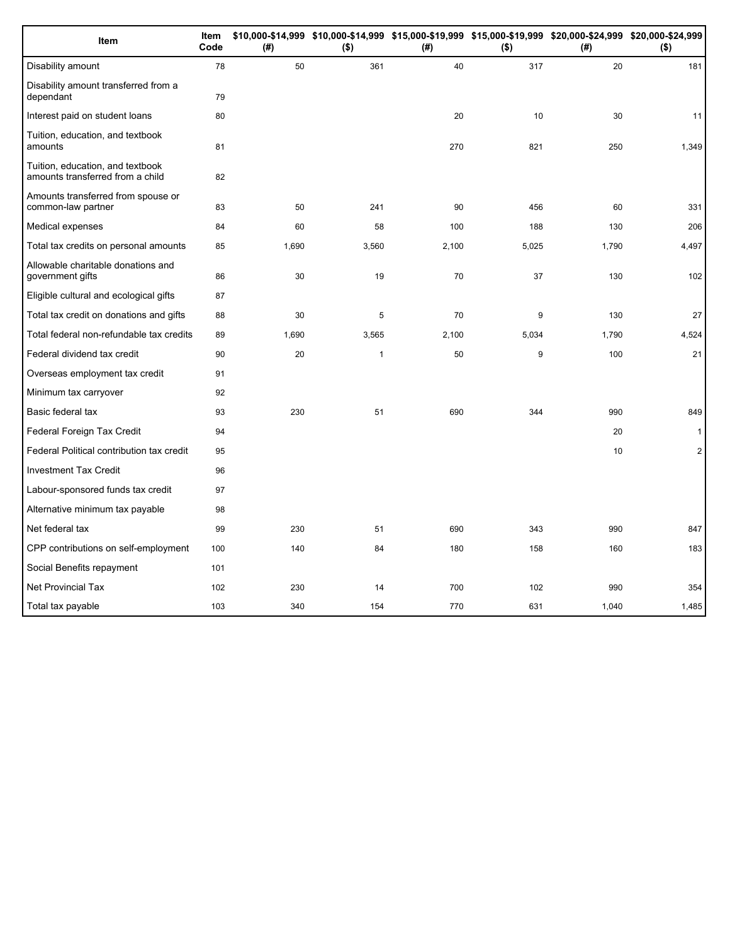| Item                                                                 | <b>Item</b><br>Code | (#)   | $($ \$)      | \$10,000-\$14,999 \$10,000-\$14,999 \$15,000-\$19,999 \$15,000-\$19,999 \$20,000-\$24,999 \$20,000-\$24,999<br>(#) | $($ \$) | (# )  | $($ \$)        |
|----------------------------------------------------------------------|---------------------|-------|--------------|--------------------------------------------------------------------------------------------------------------------|---------|-------|----------------|
| Disability amount                                                    | 78                  | 50    | 361          | 40                                                                                                                 | 317     | 20    | 181            |
| Disability amount transferred from a<br>dependant                    | 79                  |       |              |                                                                                                                    |         |       |                |
| Interest paid on student loans                                       | 80                  |       |              | 20                                                                                                                 | 10      | 30    | 11             |
| Tuition, education, and textbook<br>amounts                          | 81                  |       |              | 270                                                                                                                | 821     | 250   | 1,349          |
| Tuition, education, and textbook<br>amounts transferred from a child | 82                  |       |              |                                                                                                                    |         |       |                |
| Amounts transferred from spouse or<br>common-law partner             | 83                  | 50    | 241          | 90                                                                                                                 | 456     | 60    | 331            |
| Medical expenses                                                     | 84                  | 60    | 58           | 100                                                                                                                | 188     | 130   | 206            |
| Total tax credits on personal amounts                                | 85                  | 1,690 | 3,560        | 2,100                                                                                                              | 5,025   | 1,790 | 4,497          |
| Allowable charitable donations and<br>government gifts               | 86                  | 30    | 19           | 70                                                                                                                 | 37      | 130   | 102            |
| Eligible cultural and ecological gifts                               | 87                  |       |              |                                                                                                                    |         |       |                |
| Total tax credit on donations and gifts                              | 88                  | 30    | 5            | 70                                                                                                                 | 9       | 130   | 27             |
| Total federal non-refundable tax credits                             | 89                  | 1,690 | 3,565        | 2,100                                                                                                              | 5,034   | 1,790 | 4,524          |
| Federal dividend tax credit                                          | 90                  | 20    | $\mathbf{1}$ | 50                                                                                                                 | 9       | 100   | 21             |
| Overseas employment tax credit                                       | 91                  |       |              |                                                                                                                    |         |       |                |
| Minimum tax carryover                                                | 92                  |       |              |                                                                                                                    |         |       |                |
| Basic federal tax                                                    | 93                  | 230   | 51           | 690                                                                                                                | 344     | 990   | 849            |
| Federal Foreign Tax Credit                                           | 94                  |       |              |                                                                                                                    |         | 20    | $\mathbf{1}$   |
| Federal Political contribution tax credit                            | 95                  |       |              |                                                                                                                    |         | 10    | $\overline{2}$ |
| <b>Investment Tax Credit</b>                                         | 96                  |       |              |                                                                                                                    |         |       |                |
| Labour-sponsored funds tax credit                                    | 97                  |       |              |                                                                                                                    |         |       |                |
| Alternative minimum tax payable                                      | 98                  |       |              |                                                                                                                    |         |       |                |
| Net federal tax                                                      | 99                  | 230   | 51           | 690                                                                                                                | 343     | 990   | 847            |
| CPP contributions on self-employment                                 | 100                 | 140   | 84           | 180                                                                                                                | 158     | 160   | 183            |
| Social Benefits repayment                                            | 101                 |       |              |                                                                                                                    |         |       |                |
| <b>Net Provincial Tax</b>                                            | 102                 | 230   | 14           | 700                                                                                                                | 102     | 990   | 354            |
| Total tax payable                                                    | 103                 | 340   | 154          | 770                                                                                                                | 631     | 1,040 | 1,485          |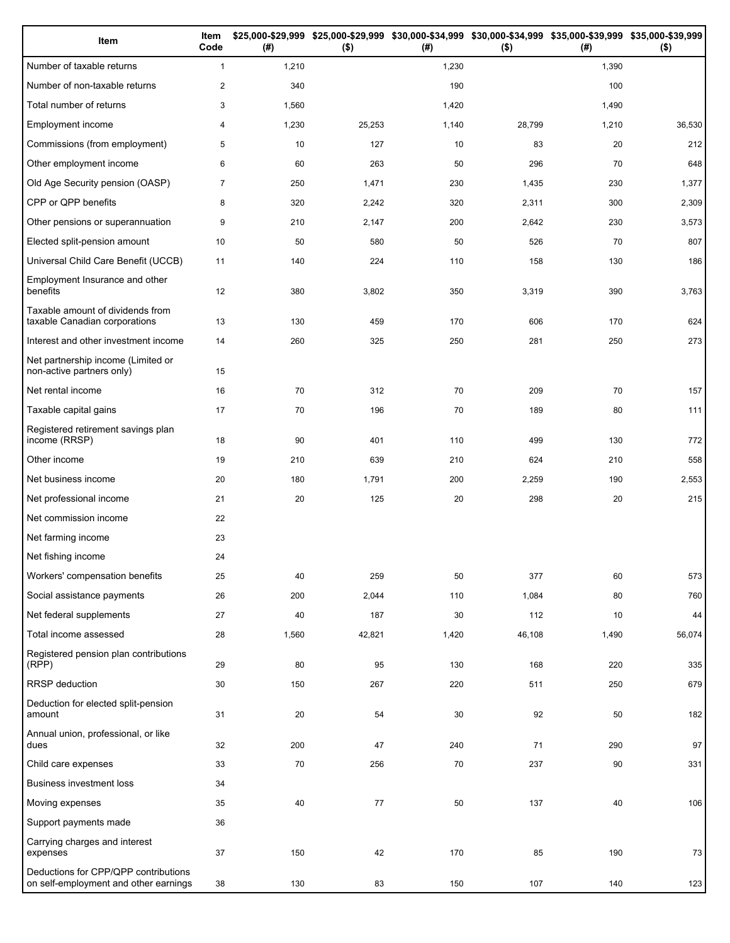| Item                                                                          | Item<br>Code   | (#)   | \$25,000-\$29,999 \$25,000-\$29,999<br>$($ \$) | (#)   | \$30,000-\$34,999 \$30,000-\$34,999 \$35,000-\$39,999 \$35,000-\$39,999<br>$($ \$) | (#)   | $($ \$) |
|-------------------------------------------------------------------------------|----------------|-------|------------------------------------------------|-------|------------------------------------------------------------------------------------|-------|---------|
| Number of taxable returns                                                     | $\mathbf{1}$   | 1,210 |                                                | 1,230 |                                                                                    | 1,390 |         |
| Number of non-taxable returns                                                 | $\mathbf{2}$   | 340   |                                                | 190   |                                                                                    | 100   |         |
| Total number of returns                                                       | 3              | 1,560 |                                                | 1,420 |                                                                                    | 1,490 |         |
| Employment income                                                             | 4              | 1,230 | 25,253                                         | 1,140 | 28,799                                                                             | 1,210 | 36,530  |
| Commissions (from employment)                                                 | 5              | 10    | 127                                            | 10    | 83                                                                                 | 20    | 212     |
| Other employment income                                                       | 6              | 60    | 263                                            | 50    | 296                                                                                | 70    | 648     |
| Old Age Security pension (OASP)                                               | $\overline{7}$ | 250   | 1,471                                          | 230   | 1,435                                                                              | 230   | 1,377   |
| CPP or QPP benefits                                                           | 8              | 320   | 2,242                                          | 320   | 2,311                                                                              | 300   | 2,309   |
| Other pensions or superannuation                                              | 9              | 210   | 2,147                                          | 200   | 2,642                                                                              | 230   | 3,573   |
| Elected split-pension amount                                                  | 10             | 50    | 580                                            | 50    | 526                                                                                | 70    | 807     |
| Universal Child Care Benefit (UCCB)                                           | 11             | 140   | 224                                            | 110   | 158                                                                                | 130   | 186     |
| Employment Insurance and other<br>benefits                                    | 12             | 380   | 3,802                                          | 350   | 3,319                                                                              | 390   | 3,763   |
| Taxable amount of dividends from<br>taxable Canadian corporations             | 13             | 130   | 459                                            | 170   | 606                                                                                | 170   | 624     |
| Interest and other investment income                                          | 14             | 260   | 325                                            | 250   | 281                                                                                | 250   | 273     |
| Net partnership income (Limited or<br>non-active partners only)               | 15             |       |                                                |       |                                                                                    |       |         |
| Net rental income                                                             | 16             | 70    | 312                                            | 70    | 209                                                                                | 70    | 157     |
| Taxable capital gains                                                         | 17             | 70    | 196                                            | 70    | 189                                                                                | 80    | 111     |
| Registered retirement savings plan<br>income (RRSP)                           | 18             | 90    | 401                                            | 110   | 499                                                                                | 130   | 772     |
| Other income                                                                  | 19             | 210   | 639                                            | 210   | 624                                                                                | 210   | 558     |
| Net business income                                                           | 20             | 180   | 1,791                                          | 200   | 2,259                                                                              | 190   | 2,553   |
| Net professional income                                                       | 21             | 20    | 125                                            | 20    | 298                                                                                | 20    | 215     |
| Net commission income                                                         | 22             |       |                                                |       |                                                                                    |       |         |
| Net farming income                                                            | 23             |       |                                                |       |                                                                                    |       |         |
| Net fishing income                                                            | 24             |       |                                                |       |                                                                                    |       |         |
| Workers' compensation benefits                                                | 25             | 40    | 259                                            | 50    | 377                                                                                | 60    | 573     |
| Social assistance payments                                                    | 26             | 200   | 2,044                                          | 110   | 1,084                                                                              | 80    | 760     |
| Net federal supplements                                                       | 27             | 40    | 187                                            | 30    | 112                                                                                | 10    | 44      |
| Total income assessed                                                         | 28             | 1,560 | 42,821                                         | 1,420 | 46,108                                                                             | 1,490 | 56,074  |
| Registered pension plan contributions<br>(RPP)                                | 29             | 80    | 95                                             | 130   | 168                                                                                | 220   | 335     |
| RRSP deduction                                                                | 30             | 150   | 267                                            | 220   | 511                                                                                | 250   | 679     |
| Deduction for elected split-pension<br>amount                                 | 31             | 20    | 54                                             | 30    | 92                                                                                 | 50    | 182     |
| Annual union, professional, or like<br>dues                                   | 32             | 200   | 47                                             | 240   | 71                                                                                 | 290   | 97      |
| Child care expenses                                                           | 33             | 70    | 256                                            | 70    | 237                                                                                | 90    | 331     |
| Business investment loss                                                      | 34             |       |                                                |       |                                                                                    |       |         |
| Moving expenses                                                               | 35             | 40    | $77 \,$                                        | 50    | 137                                                                                | 40    | 106     |
| Support payments made                                                         | 36             |       |                                                |       |                                                                                    |       |         |
| Carrying charges and interest<br>expenses                                     | 37             | 150   | 42                                             | 170   | 85                                                                                 | 190   | 73      |
| Deductions for CPP/QPP contributions<br>on self-employment and other earnings | 38             | 130   | 83                                             | 150   | 107                                                                                | 140   | 123     |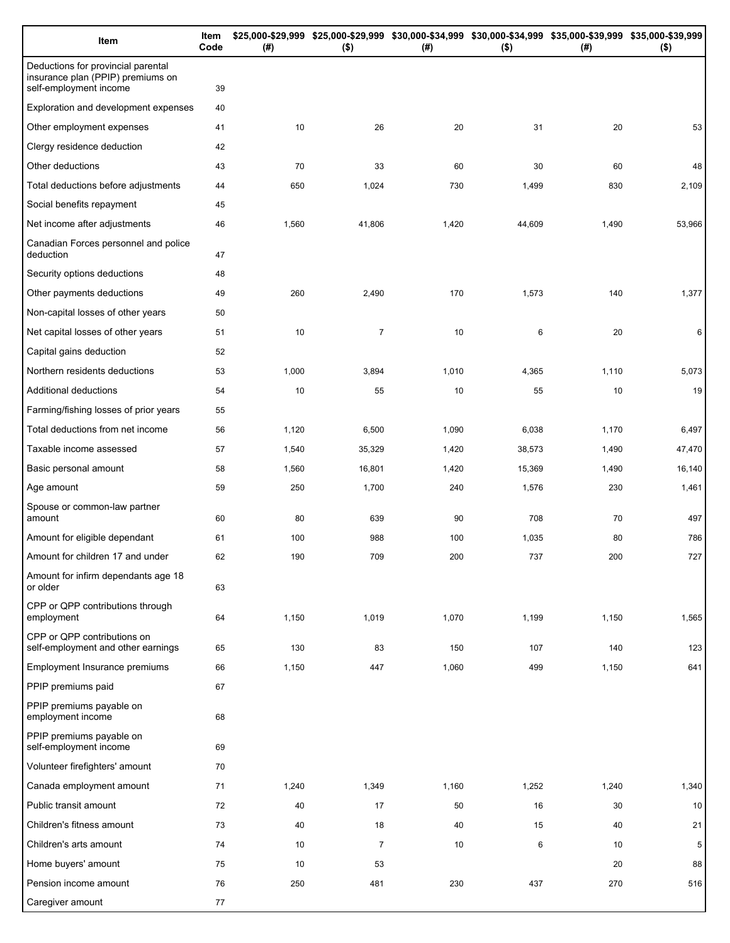| Item                                                                                              | Item<br>Code | (# )  | \$25,000-\$29,999 \$25,000-\$29,999 \$30,000-\$34,999 \$30,000-\$34,999 \$35,000-\$39,999 \$35,000-\$39,999<br>$($ \$) | (# )  | $($ \$) | (# )  | $($ \$) |
|---------------------------------------------------------------------------------------------------|--------------|-------|------------------------------------------------------------------------------------------------------------------------|-------|---------|-------|---------|
| Deductions for provincial parental<br>insurance plan (PPIP) premiums on<br>self-employment income | 39           |       |                                                                                                                        |       |         |       |         |
| Exploration and development expenses                                                              | 40           |       |                                                                                                                        |       |         |       |         |
| Other employment expenses                                                                         | 41           | 10    | 26                                                                                                                     | 20    | 31      | 20    | 53      |
| Clergy residence deduction                                                                        | 42           |       |                                                                                                                        |       |         |       |         |
| Other deductions                                                                                  | 43           | 70    | 33                                                                                                                     | 60    | 30      | 60    | 48      |
| Total deductions before adjustments                                                               | 44           | 650   | 1,024                                                                                                                  | 730   | 1,499   | 830   | 2,109   |
| Social benefits repayment                                                                         | 45           |       |                                                                                                                        |       |         |       |         |
| Net income after adjustments                                                                      | 46           | 1,560 | 41,806                                                                                                                 | 1,420 | 44,609  | 1,490 | 53,966  |
| Canadian Forces personnel and police<br>deduction                                                 | 47           |       |                                                                                                                        |       |         |       |         |
| Security options deductions                                                                       | 48           |       |                                                                                                                        |       |         |       |         |
| Other payments deductions                                                                         | 49           | 260   | 2,490                                                                                                                  | 170   | 1,573   | 140   | 1,377   |
| Non-capital losses of other years                                                                 | 50           |       |                                                                                                                        |       |         |       |         |
| Net capital losses of other years                                                                 | 51           | 10    | $\overline{7}$                                                                                                         | 10    | 6       | 20    | 6       |
| Capital gains deduction                                                                           | 52           |       |                                                                                                                        |       |         |       |         |
| Northern residents deductions                                                                     | 53           | 1,000 | 3,894                                                                                                                  | 1,010 | 4,365   | 1,110 | 5,073   |
| Additional deductions                                                                             | 54           | 10    | 55                                                                                                                     | 10    | 55      | 10    | 19      |
| Farming/fishing losses of prior years                                                             | 55           |       |                                                                                                                        |       |         |       |         |
| Total deductions from net income                                                                  | 56           | 1,120 | 6,500                                                                                                                  | 1,090 | 6,038   | 1,170 | 6,497   |
| Taxable income assessed                                                                           | 57           | 1,540 | 35,329                                                                                                                 | 1,420 | 38,573  | 1,490 | 47,470  |
| Basic personal amount                                                                             | 58           | 1,560 | 16,801                                                                                                                 | 1,420 | 15,369  | 1,490 | 16,140  |
| Age amount                                                                                        | 59           | 250   | 1,700                                                                                                                  | 240   | 1,576   | 230   | 1,461   |
| Spouse or common-law partner<br>amount                                                            | 60           | 80    | 639                                                                                                                    | 90    | 708     | 70    | 497     |
| Amount for eligible dependant                                                                     | 61           | 100   | 988                                                                                                                    | 100   | 1,035   | 80    | 786     |
| Amount for children 17 and under                                                                  | 62           | 190   | 709                                                                                                                    | 200   | 737     | 200   | 727     |
| Amount for infirm dependants age 18<br>or older                                                   | 63           |       |                                                                                                                        |       |         |       |         |
| CPP or QPP contributions through<br>employment                                                    | 64           | 1,150 | 1,019                                                                                                                  | 1,070 | 1,199   | 1,150 | 1,565   |
| CPP or QPP contributions on<br>self-employment and other earnings                                 | 65           | 130   | 83                                                                                                                     | 150   | 107     | 140   | 123     |
| Employment Insurance premiums                                                                     | 66           | 1,150 | 447                                                                                                                    | 1,060 | 499     | 1,150 | 641     |
| PPIP premiums paid                                                                                | 67           |       |                                                                                                                        |       |         |       |         |
| PPIP premiums payable on<br>employment income                                                     | 68           |       |                                                                                                                        |       |         |       |         |
| PPIP premiums payable on<br>self-employment income                                                | 69           |       |                                                                                                                        |       |         |       |         |
| Volunteer firefighters' amount                                                                    | 70           |       |                                                                                                                        |       |         |       |         |
| Canada employment amount                                                                          | 71           | 1,240 | 1,349                                                                                                                  | 1,160 | 1,252   | 1,240 | 1,340   |
| Public transit amount                                                                             | 72           | 40    | 17                                                                                                                     | 50    | 16      | 30    | 10      |
| Children's fitness amount                                                                         | 73           | 40    | 18                                                                                                                     | 40    | 15      | 40    | 21      |
| Children's arts amount                                                                            | 74           | 10    | $\overline{7}$                                                                                                         | 10    | 6       | 10    | 5       |
| Home buyers' amount                                                                               | 75           | 10    | 53                                                                                                                     |       |         | 20    | 88      |
| Pension income amount                                                                             | 76           | 250   | 481                                                                                                                    | 230   | 437     | 270   | 516     |
| Caregiver amount                                                                                  | 77           |       |                                                                                                                        |       |         |       |         |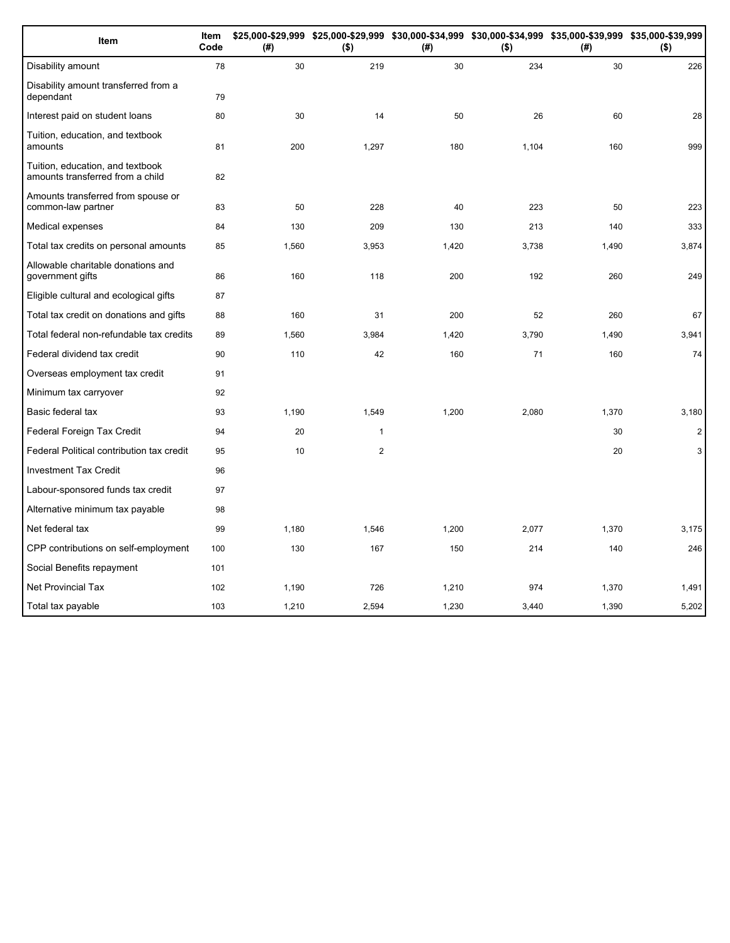| Item                                                                 | Item<br>Code | (# )  | \$25,000-\$29,999 \$25,000-\$29,999 \$30,000-\$34,999 \$30,000-\$34,999 \$35,000-\$39,999 \$35,000-\$39,999<br>$($ \$) | (# )  | $($ \$) | (#)   | $($ \$)        |
|----------------------------------------------------------------------|--------------|-------|------------------------------------------------------------------------------------------------------------------------|-------|---------|-------|----------------|
| Disability amount                                                    | 78           | 30    | 219                                                                                                                    | 30    | 234     | 30    | 226            |
| Disability amount transferred from a<br>dependant                    | 79           |       |                                                                                                                        |       |         |       |                |
| Interest paid on student loans                                       | 80           | 30    | 14                                                                                                                     | 50    | 26      | 60    | 28             |
| Tuition, education, and textbook<br>amounts                          | 81           | 200   | 1,297                                                                                                                  | 180   | 1,104   | 160   | 999            |
| Tuition, education, and textbook<br>amounts transferred from a child | 82           |       |                                                                                                                        |       |         |       |                |
| Amounts transferred from spouse or<br>common-law partner             | 83           | 50    | 228                                                                                                                    | 40    | 223     | 50    | 223            |
| Medical expenses                                                     | 84           | 130   | 209                                                                                                                    | 130   | 213     | 140   | 333            |
| Total tax credits on personal amounts                                | 85           | 1,560 | 3,953                                                                                                                  | 1,420 | 3,738   | 1,490 | 3,874          |
| Allowable charitable donations and<br>government gifts               | 86           | 160   | 118                                                                                                                    | 200   | 192     | 260   | 249            |
| Eligible cultural and ecological gifts                               | 87           |       |                                                                                                                        |       |         |       |                |
| Total tax credit on donations and gifts                              | 88           | 160   | 31                                                                                                                     | 200   | 52      | 260   | 67             |
| Total federal non-refundable tax credits                             | 89           | 1,560 | 3,984                                                                                                                  | 1,420 | 3,790   | 1,490 | 3,941          |
| Federal dividend tax credit                                          | 90           | 110   | 42                                                                                                                     | 160   | 71      | 160   | 74             |
| Overseas employment tax credit                                       | 91           |       |                                                                                                                        |       |         |       |                |
| Minimum tax carryover                                                | 92           |       |                                                                                                                        |       |         |       |                |
| Basic federal tax                                                    | 93           | 1,190 | 1,549                                                                                                                  | 1,200 | 2,080   | 1,370 | 3,180          |
| Federal Foreign Tax Credit                                           | 94           | 20    | $\mathbf{1}$                                                                                                           |       |         | 30    | 2              |
| Federal Political contribution tax credit                            | 95           | 10    | $\boldsymbol{2}$                                                                                                       |       |         | 20    | 3 <sup>1</sup> |
| <b>Investment Tax Credit</b>                                         | 96           |       |                                                                                                                        |       |         |       |                |
| Labour-sponsored funds tax credit                                    | 97           |       |                                                                                                                        |       |         |       |                |
| Alternative minimum tax payable                                      | 98           |       |                                                                                                                        |       |         |       |                |
| Net federal tax                                                      | 99           | 1,180 | 1,546                                                                                                                  | 1,200 | 2,077   | 1,370 | 3,175          |
| CPP contributions on self-employment                                 | 100          | 130   | 167                                                                                                                    | 150   | 214     | 140   | 246            |
| Social Benefits repayment                                            | 101          |       |                                                                                                                        |       |         |       |                |
| <b>Net Provincial Tax</b>                                            | 102          | 1,190 | 726                                                                                                                    | 1,210 | 974     | 1,370 | 1,491          |
| Total tax payable                                                    | 103          | 1,210 | 2,594                                                                                                                  | 1,230 | 3,440   | 1,390 | 5,202          |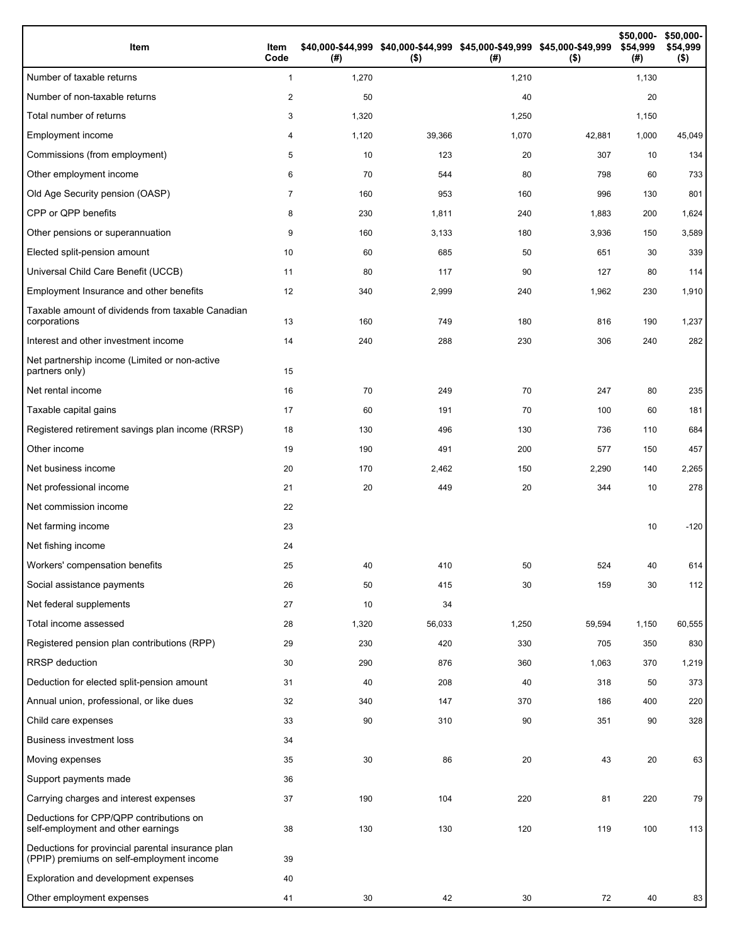| Item                                                                                           | Item<br>Code   | (#)   | \$40,000-\$44,999 \$40,000-\$44,999 \$45,000-\$49,999 \$45,000-\$49,999<br>$($ \$) | (#)   | $($ \$) | \$50,000-<br>\$54,999<br>(# ) | \$50,000-<br>\$54,999<br>$($ \$) |
|------------------------------------------------------------------------------------------------|----------------|-------|------------------------------------------------------------------------------------|-------|---------|-------------------------------|----------------------------------|
| Number of taxable returns                                                                      | $\mathbf{1}$   | 1,270 |                                                                                    | 1,210 |         | 1,130                         |                                  |
| Number of non-taxable returns                                                                  | 2              | 50    |                                                                                    | 40    |         | 20                            |                                  |
| Total number of returns                                                                        | 3              | 1,320 |                                                                                    | 1,250 |         | 1,150                         |                                  |
| Employment income                                                                              | 4              | 1,120 | 39,366                                                                             | 1,070 | 42,881  | 1,000                         | 45,049                           |
| Commissions (from employment)                                                                  | 5              | 10    | 123                                                                                | 20    | 307     | 10                            | 134                              |
| Other employment income                                                                        | 6              | 70    | 544                                                                                | 80    | 798     | 60                            | 733                              |
| Old Age Security pension (OASP)                                                                | $\overline{7}$ | 160   | 953                                                                                | 160   | 996     | 130                           | 801                              |
| CPP or QPP benefits                                                                            | 8              | 230   | 1,811                                                                              | 240   | 1,883   | 200                           | 1,624                            |
| Other pensions or superannuation                                                               | 9              | 160   | 3,133                                                                              | 180   | 3,936   | 150                           | 3,589                            |
| Elected split-pension amount                                                                   | 10             | 60    | 685                                                                                | 50    | 651     | 30                            | 339                              |
| Universal Child Care Benefit (UCCB)                                                            | 11             | 80    | 117                                                                                | 90    | 127     | 80                            | 114                              |
| Employment Insurance and other benefits                                                        | 12             | 340   | 2,999                                                                              | 240   | 1,962   | 230                           | 1,910                            |
| Taxable amount of dividends from taxable Canadian<br>corporations                              | 13             | 160   | 749                                                                                | 180   | 816     | 190                           | 1,237                            |
| Interest and other investment income                                                           | 14             | 240   | 288                                                                                | 230   | 306     | 240                           | 282                              |
| Net partnership income (Limited or non-active<br>partners only)                                | 15             |       |                                                                                    |       |         |                               |                                  |
| Net rental income                                                                              | 16             | 70    | 249                                                                                | 70    | 247     | 80                            | 235                              |
| Taxable capital gains                                                                          | 17             | 60    | 191                                                                                | 70    | 100     | 60                            | 181                              |
| Registered retirement savings plan income (RRSP)                                               | 18             | 130   | 496                                                                                | 130   | 736     | 110                           | 684                              |
| Other income                                                                                   | 19             | 190   | 491                                                                                | 200   | 577     | 150                           | 457                              |
| Net business income                                                                            | 20             | 170   | 2,462                                                                              | 150   | 2,290   | 140                           | 2,265                            |
| Net professional income                                                                        | 21             | 20    | 449                                                                                | 20    | 344     | 10                            | 278                              |
| Net commission income                                                                          | 22             |       |                                                                                    |       |         |                               |                                  |
| Net farming income                                                                             | 23             |       |                                                                                    |       |         | 10                            | $-120$                           |
| Net fishing income                                                                             | 24             |       |                                                                                    |       |         |                               |                                  |
| Workers' compensation benefits                                                                 | 25             | 40    | 410                                                                                | 50    | 524     | 40                            | 614                              |
| Social assistance payments                                                                     | 26             | 50    | 415                                                                                | 30    | 159     | 30                            | 112                              |
| Net federal supplements                                                                        | 27             | 10    | 34                                                                                 |       |         |                               |                                  |
| Total income assessed                                                                          | 28             | 1,320 | 56,033                                                                             | 1,250 | 59,594  | 1,150                         | 60,555                           |
| Registered pension plan contributions (RPP)                                                    | 29             | 230   | 420                                                                                | 330   | 705     | 350                           | 830                              |
| RRSP deduction                                                                                 | 30             | 290   | 876                                                                                | 360   | 1,063   | 370                           | 1,219                            |
| Deduction for elected split-pension amount                                                     | 31             | 40    | 208                                                                                | 40    | 318     | 50                            | 373                              |
| Annual union, professional, or like dues                                                       | 32             | 340   | 147                                                                                | 370   | 186     | 400                           | 220                              |
| Child care expenses                                                                            | 33             | 90    | 310                                                                                | 90    | 351     | 90                            | 328                              |
| <b>Business investment loss</b>                                                                | 34             |       |                                                                                    |       |         |                               |                                  |
| Moving expenses                                                                                | 35             | 30    | 86                                                                                 | 20    | 43      | 20                            | 63                               |
| Support payments made                                                                          | 36             |       |                                                                                    |       |         |                               |                                  |
| Carrying charges and interest expenses                                                         | 37             | 190   | 104                                                                                | 220   | 81      | 220                           | 79                               |
| Deductions for CPP/QPP contributions on<br>self-employment and other earnings                  | 38             | 130   | 130                                                                                | 120   | 119     | 100                           | 113                              |
| Deductions for provincial parental insurance plan<br>(PPIP) premiums on self-employment income | 39             |       |                                                                                    |       |         |                               |                                  |
| Exploration and development expenses                                                           | 40             |       |                                                                                    |       |         |                               |                                  |
| Other employment expenses                                                                      | 41             | 30    | 42                                                                                 | 30    | 72      | 40                            | 83                               |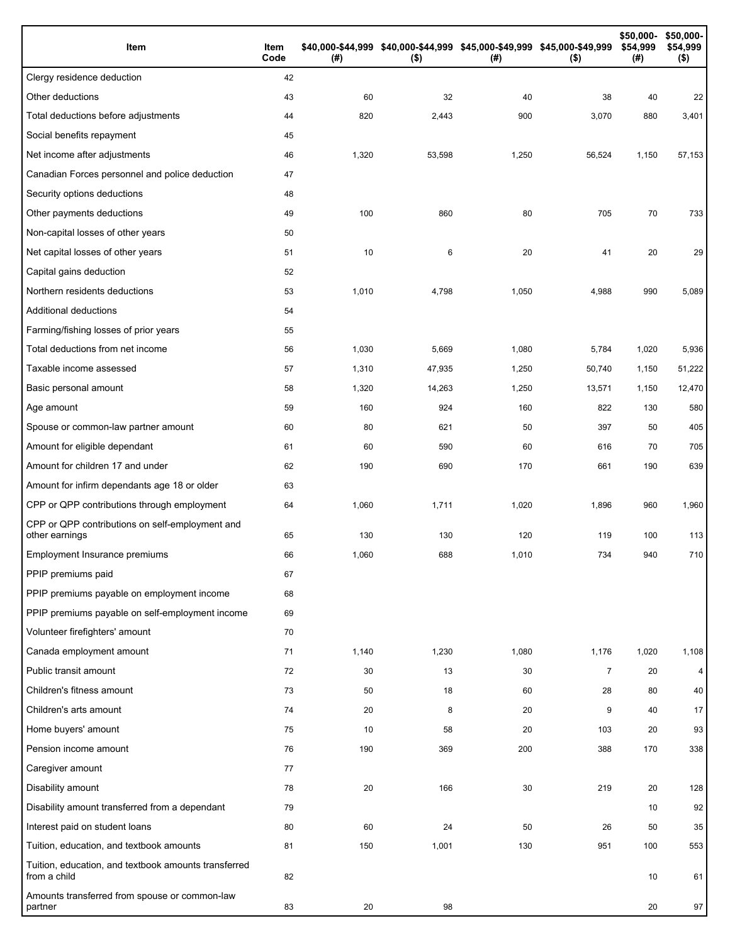| Item                                                                 | Item<br>Code | (#)   | \$40,000-\$44,999 \$40,000-\$44,999 \$45,000-\$49,999 \$45,000-\$49,999<br>$($ \$) | (#)   | $($ \$)        | \$50,000-<br>\$54,999<br>(#) | \$50,000-<br>\$54,999<br>$($ \$) |
|----------------------------------------------------------------------|--------------|-------|------------------------------------------------------------------------------------|-------|----------------|------------------------------|----------------------------------|
| Clergy residence deduction                                           | 42           |       |                                                                                    |       |                |                              |                                  |
| Other deductions                                                     | 43           | 60    | 32                                                                                 | 40    | 38             | 40                           | 22                               |
| Total deductions before adjustments                                  | 44           | 820   | 2,443                                                                              | 900   | 3,070          | 880                          | 3,401                            |
| Social benefits repayment                                            | 45           |       |                                                                                    |       |                |                              |                                  |
| Net income after adjustments                                         | 46           | 1,320 | 53,598                                                                             | 1,250 | 56,524         | 1,150                        | 57,153                           |
| Canadian Forces personnel and police deduction                       | 47           |       |                                                                                    |       |                |                              |                                  |
| Security options deductions                                          | 48           |       |                                                                                    |       |                |                              |                                  |
| Other payments deductions                                            | 49           | 100   | 860                                                                                | 80    | 705            | 70                           | 733                              |
| Non-capital losses of other years                                    | 50           |       |                                                                                    |       |                |                              |                                  |
| Net capital losses of other years                                    | 51           | 10    | 6                                                                                  | 20    | 41             | 20                           | 29                               |
| Capital gains deduction                                              | 52           |       |                                                                                    |       |                |                              |                                  |
| Northern residents deductions                                        | 53           | 1,010 | 4,798                                                                              | 1,050 | 4,988          | 990                          | 5,089                            |
| Additional deductions                                                | 54           |       |                                                                                    |       |                |                              |                                  |
| Farming/fishing losses of prior years                                | 55           |       |                                                                                    |       |                |                              |                                  |
| Total deductions from net income                                     | 56           | 1,030 | 5,669                                                                              | 1,080 | 5,784          | 1,020                        | 5,936                            |
| Taxable income assessed                                              | 57           | 1,310 | 47,935                                                                             | 1,250 | 50,740         | 1,150                        | 51,222                           |
| Basic personal amount                                                | 58           | 1,320 | 14,263                                                                             | 1,250 | 13,571         | 1,150                        | 12,470                           |
| Age amount                                                           | 59           | 160   | 924                                                                                | 160   | 822            | 130                          | 580                              |
| Spouse or common-law partner amount                                  | 60           | 80    | 621                                                                                | 50    | 397            | 50                           | 405                              |
| Amount for eligible dependant                                        | 61           | 60    | 590                                                                                | 60    | 616            | 70                           | 705                              |
| Amount for children 17 and under                                     | 62           | 190   | 690                                                                                | 170   | 661            | 190                          | 639                              |
| Amount for infirm dependants age 18 or older                         | 63           |       |                                                                                    |       |                |                              |                                  |
| CPP or QPP contributions through employment                          | 64           | 1,060 | 1,711                                                                              | 1,020 | 1,896          | 960                          | 1,960                            |
| CPP or QPP contributions on self-employment and<br>other earnings    | 65           | 130   | 130                                                                                | 120   | 119            | 100                          | 113                              |
| Employment Insurance premiums                                        | 66           | 1,060 | 688                                                                                | 1,010 | 734            | 940                          | 710                              |
| PPIP premiums paid                                                   | 67           |       |                                                                                    |       |                |                              |                                  |
| PPIP premiums payable on employment income                           | 68           |       |                                                                                    |       |                |                              |                                  |
| PPIP premiums payable on self-employment income                      | 69           |       |                                                                                    |       |                |                              |                                  |
| Volunteer firefighters' amount                                       | 70           |       |                                                                                    |       |                |                              |                                  |
| Canada employment amount                                             | 71           | 1,140 | 1,230                                                                              | 1,080 | 1,176          | 1,020                        | 1,108                            |
| Public transit amount                                                | 72           | 30    | 13                                                                                 | 30    | $\overline{7}$ | 20                           | 4                                |
| Children's fitness amount                                            | 73           | 50    | 18                                                                                 | 60    | 28             | 80                           | 40                               |
| Children's arts amount                                               | 74           | 20    | 8                                                                                  | 20    | 9              | 40                           | 17                               |
| Home buyers' amount                                                  | 75           | 10    | 58                                                                                 | 20    | 103            | 20                           | 93                               |
| Pension income amount                                                | 76           | 190   | 369                                                                                | 200   | 388            | 170                          | 338                              |
| Caregiver amount                                                     | 77           |       |                                                                                    |       |                |                              |                                  |
| Disability amount                                                    | 78           | 20    | 166                                                                                | 30    | 219            | 20                           | 128                              |
| Disability amount transferred from a dependant                       | 79           |       |                                                                                    |       |                | 10                           | 92                               |
| Interest paid on student loans                                       | 80           | 60    | 24                                                                                 | 50    | 26             | 50                           | 35                               |
| Tuition, education, and textbook amounts                             | 81           | 150   | 1,001                                                                              | 130   | 951            | 100                          | 553                              |
| Tuition, education, and textbook amounts transferred<br>from a child | 82           |       |                                                                                    |       |                | 10                           | 61                               |
| Amounts transferred from spouse or common-law<br>partner             | 83           | 20    | 98                                                                                 |       |                | 20                           | 97                               |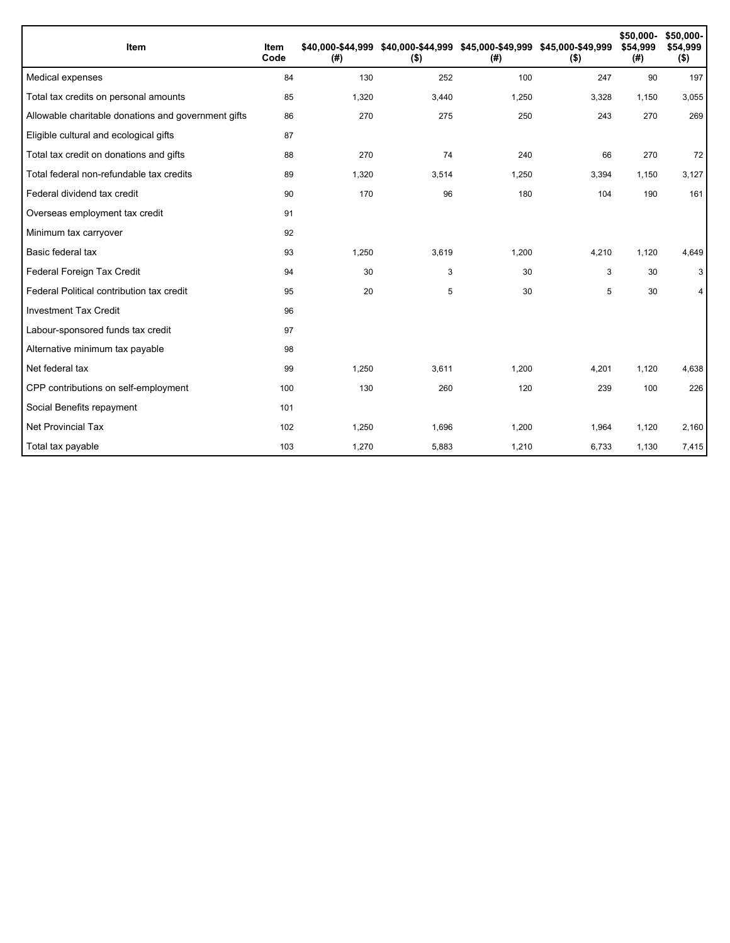| Item                                                | Item<br>Code | (#)   | \$40,000-\$44,999 \$40,000-\$44,999 \$45,000-\$49,999 \$45,000-\$49,999<br>$($ \$) | (#)   | $($ \$) | \$50,000-<br>\$54,999<br>(#) | \$50,000-<br>\$54,999<br>$($ \$) |
|-----------------------------------------------------|--------------|-------|------------------------------------------------------------------------------------|-------|---------|------------------------------|----------------------------------|
| Medical expenses                                    | 84           | 130   | 252                                                                                | 100   | 247     | 90                           | 197                              |
| Total tax credits on personal amounts               | 85           | 1,320 | 3,440                                                                              | 1,250 | 3,328   | 1,150                        | 3,055                            |
| Allowable charitable donations and government gifts | 86           | 270   | 275                                                                                | 250   | 243     | 270                          | 269                              |
| Eligible cultural and ecological gifts              | 87           |       |                                                                                    |       |         |                              |                                  |
| Total tax credit on donations and gifts             | 88           | 270   | 74                                                                                 | 240   | 66      | 270                          | 72                               |
| Total federal non-refundable tax credits            | 89           | 1,320 | 3,514                                                                              | 1,250 | 3,394   | 1,150                        | 3,127                            |
| Federal dividend tax credit                         | 90           | 170   | 96                                                                                 | 180   | 104     | 190                          | 161                              |
| Overseas employment tax credit                      | 91           |       |                                                                                    |       |         |                              |                                  |
| Minimum tax carryover                               | 92           |       |                                                                                    |       |         |                              |                                  |
| Basic federal tax                                   | 93           | 1,250 | 3,619                                                                              | 1,200 | 4,210   | 1,120                        | 4,649                            |
| Federal Foreign Tax Credit                          | 94           | 30    | 3                                                                                  | 30    | 3       | 30                           | 3                                |
| Federal Political contribution tax credit           | 95           | 20    | 5                                                                                  | 30    | 5       | 30                           | 4                                |
| <b>Investment Tax Credit</b>                        | 96           |       |                                                                                    |       |         |                              |                                  |
| Labour-sponsored funds tax credit                   | 97           |       |                                                                                    |       |         |                              |                                  |
| Alternative minimum tax payable                     | 98           |       |                                                                                    |       |         |                              |                                  |
| Net federal tax                                     | 99           | 1,250 | 3,611                                                                              | 1,200 | 4,201   | 1,120                        | 4,638                            |
| CPP contributions on self-employment                | 100          | 130   | 260                                                                                | 120   | 239     | 100                          | 226                              |
| Social Benefits repayment                           | 101          |       |                                                                                    |       |         |                              |                                  |
| <b>Net Provincial Tax</b>                           | 102          | 1,250 | 1,696                                                                              | 1,200 | 1,964   | 1,120                        | 2,160                            |
| Total tax payable                                   | 103          | 1,270 | 5,883                                                                              | 1,210 | 6,733   | 1,130                        | 7,415                            |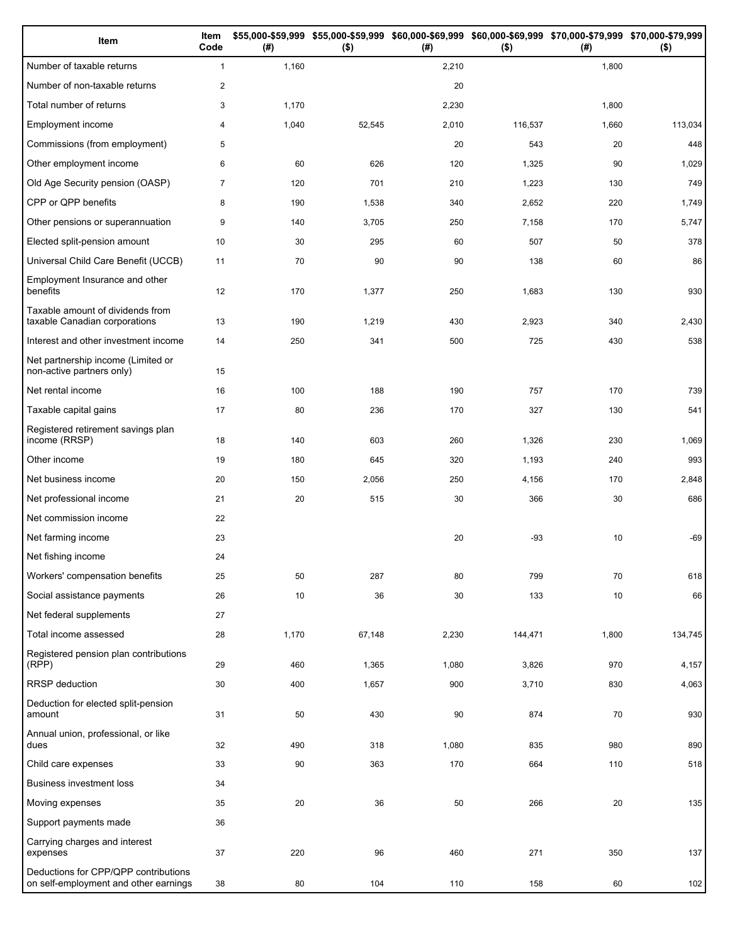| Item                                                                          | Item<br>Code   | (#)   | \$55,000-\$59,999 \$55,000-\$59,999 \$60,000-\$69,999 \$60,000-\$69,999 \$70,000-\$79,999 \$70,000-\$79,999<br>$($ \$) | (# )  | $($ \$) | (# )  | $($ \$) |
|-------------------------------------------------------------------------------|----------------|-------|------------------------------------------------------------------------------------------------------------------------|-------|---------|-------|---------|
| Number of taxable returns                                                     | $\mathbf{1}$   | 1,160 |                                                                                                                        | 2,210 |         | 1,800 |         |
| Number of non-taxable returns                                                 | $\overline{2}$ |       |                                                                                                                        | 20    |         |       |         |
| Total number of returns                                                       | 3              | 1,170 |                                                                                                                        | 2,230 |         | 1,800 |         |
| Employment income                                                             | 4              | 1,040 | 52,545                                                                                                                 | 2,010 | 116,537 | 1,660 | 113,034 |
| Commissions (from employment)                                                 | 5              |       |                                                                                                                        | 20    | 543     | 20    | 448     |
| Other employment income                                                       | 6              | 60    | 626                                                                                                                    | 120   | 1,325   | 90    | 1,029   |
| Old Age Security pension (OASP)                                               | $\overline{7}$ | 120   | 701                                                                                                                    | 210   | 1,223   | 130   | 749     |
| CPP or QPP benefits                                                           | 8              | 190   | 1,538                                                                                                                  | 340   | 2,652   | 220   | 1,749   |
| Other pensions or superannuation                                              | 9              | 140   | 3,705                                                                                                                  | 250   | 7,158   | 170   | 5,747   |
| Elected split-pension amount                                                  | 10             | 30    | 295                                                                                                                    | 60    | 507     | 50    | 378     |
| Universal Child Care Benefit (UCCB)                                           | 11             | 70    | 90                                                                                                                     | 90    | 138     | 60    | 86      |
| Employment Insurance and other<br>benefits                                    | 12             | 170   | 1,377                                                                                                                  | 250   | 1,683   | 130   | 930     |
| Taxable amount of dividends from<br>taxable Canadian corporations             | 13             | 190   | 1,219                                                                                                                  | 430   | 2,923   | 340   | 2,430   |
| Interest and other investment income                                          | 14             | 250   | 341                                                                                                                    | 500   | 725     | 430   | 538     |
| Net partnership income (Limited or<br>non-active partners only)               | 15             |       |                                                                                                                        |       |         |       |         |
| Net rental income                                                             | 16             | 100   | 188                                                                                                                    | 190   | 757     | 170   | 739     |
| Taxable capital gains                                                         | 17             | 80    | 236                                                                                                                    | 170   | 327     | 130   | 541     |
| Registered retirement savings plan<br>income (RRSP)                           | 18             | 140   | 603                                                                                                                    | 260   | 1,326   | 230   | 1,069   |
| Other income                                                                  | 19             | 180   | 645                                                                                                                    | 320   | 1,193   | 240   | 993     |
| Net business income                                                           | 20             | 150   | 2,056                                                                                                                  | 250   | 4,156   | 170   | 2,848   |
| Net professional income                                                       | 21             | 20    | 515                                                                                                                    | 30    | 366     | 30    | 686     |
| Net commission income                                                         | 22             |       |                                                                                                                        |       |         |       |         |
| Net farming income                                                            | 23             |       |                                                                                                                        | 20    | $-93$   | 10    | $-69$   |
| Net fishing income                                                            | 24             |       |                                                                                                                        |       |         |       |         |
| Workers' compensation benefits                                                | 25             | 50    | 287                                                                                                                    | 80    | 799     | 70    | 618     |
| Social assistance payments                                                    | 26             | 10    | 36                                                                                                                     | 30    | 133     | 10    | 66      |
| Net federal supplements                                                       | 27             |       |                                                                                                                        |       |         |       |         |
| Total income assessed                                                         | 28             | 1,170 | 67,148                                                                                                                 | 2,230 | 144,471 | 1,800 | 134,745 |
| Registered pension plan contributions<br>(RPP)                                | 29             | 460   | 1,365                                                                                                                  | 1,080 | 3,826   | 970   | 4,157   |
| RRSP deduction                                                                | 30             | 400   | 1,657                                                                                                                  | 900   | 3,710   | 830   | 4,063   |
| Deduction for elected split-pension<br>amount                                 | 31             | 50    | 430                                                                                                                    | 90    | 874     | 70    | 930     |
| Annual union, professional, or like<br>dues                                   | 32             | 490   | 318                                                                                                                    | 1,080 | 835     | 980   | 890     |
| Child care expenses                                                           | 33             | 90    | 363                                                                                                                    | 170   | 664     | 110   | 518     |
| <b>Business investment loss</b>                                               | 34             |       |                                                                                                                        |       |         |       |         |
| Moving expenses                                                               | 35             | 20    | 36                                                                                                                     | 50    | 266     | 20    | 135     |
| Support payments made                                                         | 36             |       |                                                                                                                        |       |         |       |         |
| Carrying charges and interest<br>expenses                                     | 37             | 220   | 96                                                                                                                     | 460   | 271     | 350   | 137     |
| Deductions for CPP/QPP contributions<br>on self-employment and other earnings | 38             | 80    | 104                                                                                                                    | 110   | 158     | 60    | 102     |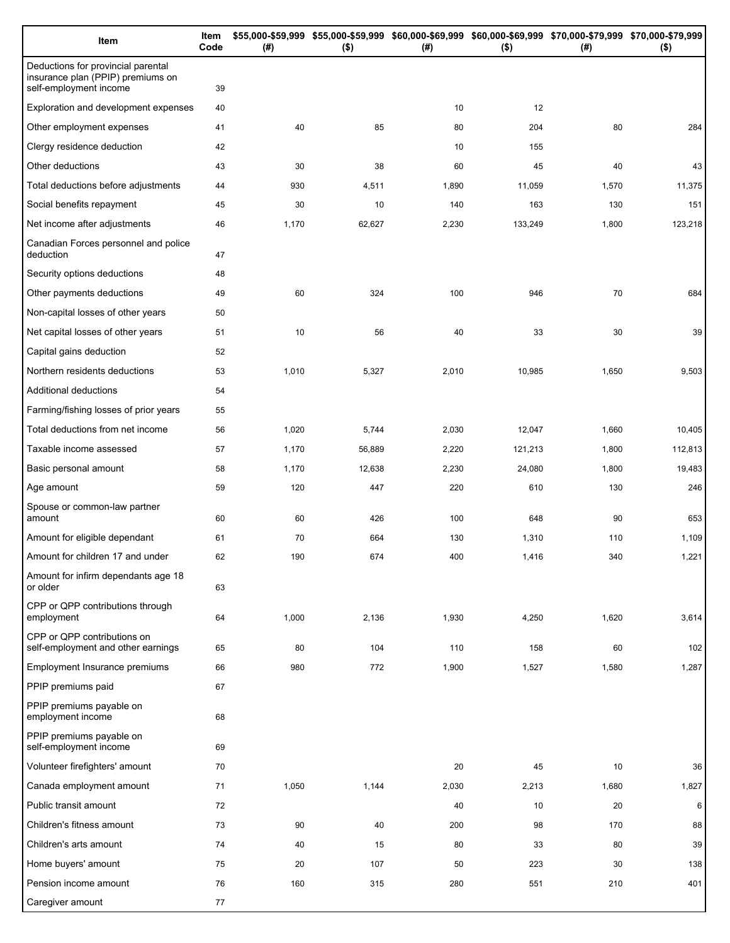| Item                                                                                              | Item<br>Code | \$55,000-\$59,999 \$55,000-\$59,999 \$60,000-\$69,999 \$60,000-\$69,999 \$70,000-\$79,999 \$70,000-\$79,999<br>(# )<br>$($ \$)<br>(# )<br>$($ \$) |        |       | (# )    | $($ \$) |         |
|---------------------------------------------------------------------------------------------------|--------------|---------------------------------------------------------------------------------------------------------------------------------------------------|--------|-------|---------|---------|---------|
| Deductions for provincial parental<br>insurance plan (PPIP) premiums on<br>self-employment income | 39           |                                                                                                                                                   |        |       |         |         |         |
| Exploration and development expenses                                                              | 40           |                                                                                                                                                   |        | 10    | 12      |         |         |
| Other employment expenses                                                                         | 41           | 40                                                                                                                                                | 85     | 80    | 204     | 80      | 284     |
| Clergy residence deduction                                                                        | 42           |                                                                                                                                                   |        | 10    | 155     |         |         |
| Other deductions                                                                                  | 43           | 30                                                                                                                                                | 38     | 60    | 45      | 40      | 43      |
| Total deductions before adjustments                                                               | 44           | 930                                                                                                                                               | 4,511  | 1,890 | 11,059  | 1,570   | 11,375  |
| Social benefits repayment                                                                         | 45           | 30                                                                                                                                                | 10     | 140   | 163     | 130     | 151     |
| Net income after adjustments                                                                      | 46           | 1,170                                                                                                                                             | 62,627 | 2,230 | 133,249 | 1,800   | 123,218 |
| Canadian Forces personnel and police<br>deduction                                                 | 47           |                                                                                                                                                   |        |       |         |         |         |
| Security options deductions                                                                       | 48           |                                                                                                                                                   |        |       |         |         |         |
| Other payments deductions                                                                         | 49           | 60                                                                                                                                                | 324    | 100   | 946     | 70      | 684     |
| Non-capital losses of other years                                                                 | 50           |                                                                                                                                                   |        |       |         |         |         |
| Net capital losses of other years                                                                 | 51           | 10                                                                                                                                                | 56     | 40    | 33      | 30      | 39      |
| Capital gains deduction                                                                           | 52           |                                                                                                                                                   |        |       |         |         |         |
| Northern residents deductions                                                                     | 53           | 1,010                                                                                                                                             | 5,327  | 2,010 | 10,985  | 1,650   | 9,503   |
| Additional deductions                                                                             | 54           |                                                                                                                                                   |        |       |         |         |         |
| Farming/fishing losses of prior years                                                             | 55           |                                                                                                                                                   |        |       |         |         |         |
| Total deductions from net income                                                                  | 56           | 1,020                                                                                                                                             | 5,744  | 2,030 | 12,047  | 1,660   | 10,405  |
| Taxable income assessed                                                                           | 57           | 1,170                                                                                                                                             | 56,889 | 2,220 | 121,213 | 1,800   | 112,813 |
| Basic personal amount                                                                             | 58           | 1,170                                                                                                                                             | 12,638 | 2,230 | 24,080  | 1,800   | 19,483  |
| Age amount                                                                                        | 59           | 120                                                                                                                                               | 447    | 220   | 610     | 130     | 246     |
| Spouse or common-law partner<br>amount                                                            | 60           | 60                                                                                                                                                | 426    | 100   | 648     | 90      | 653     |
| Amount for eligible dependant                                                                     | 61           | 70                                                                                                                                                | 664    | 130   | 1,310   | 110     | 1,109   |
| Amount for children 17 and under                                                                  | 62           | 190                                                                                                                                               | 674    | 400   | 1,416   | 340     | 1,221   |
| Amount for infirm dependants age 18<br>or older                                                   | 63           |                                                                                                                                                   |        |       |         |         |         |
| CPP or QPP contributions through<br>employment                                                    | 64           | 1,000                                                                                                                                             | 2,136  | 1,930 | 4,250   | 1,620   | 3,614   |
| CPP or QPP contributions on<br>self-employment and other earnings                                 | 65           | 80                                                                                                                                                | 104    | 110   | 158     | 60      | 102     |
| Employment Insurance premiums                                                                     | 66           | 980                                                                                                                                               | 772    | 1,900 | 1,527   | 1,580   | 1,287   |
| PPIP premiums paid                                                                                | 67           |                                                                                                                                                   |        |       |         |         |         |
| PPIP premiums payable on<br>employment income                                                     | 68           |                                                                                                                                                   |        |       |         |         |         |
| PPIP premiums payable on<br>self-employment income                                                | 69           |                                                                                                                                                   |        |       |         |         |         |
| Volunteer firefighters' amount                                                                    | 70           |                                                                                                                                                   |        | 20    | 45      | 10      | 36      |
| Canada employment amount                                                                          | 71           | 1,050                                                                                                                                             | 1,144  | 2,030 | 2,213   | 1,680   | 1,827   |
| Public transit amount                                                                             | 72           |                                                                                                                                                   |        | 40    | 10      | 20      | 6       |
| Children's fitness amount                                                                         | 73           | 90                                                                                                                                                | 40     | 200   | 98      | 170     | 88      |
| Children's arts amount                                                                            | 74           | 40                                                                                                                                                | 15     | 80    | 33      | 80      | 39      |
| Home buyers' amount                                                                               | 75           | 20                                                                                                                                                | 107    | 50    | 223     | 30      | 138     |
| Pension income amount                                                                             | 76           | 160                                                                                                                                               | 315    | 280   | 551     | 210     | 401     |
| Caregiver amount                                                                                  | 77           |                                                                                                                                                   |        |       |         |         |         |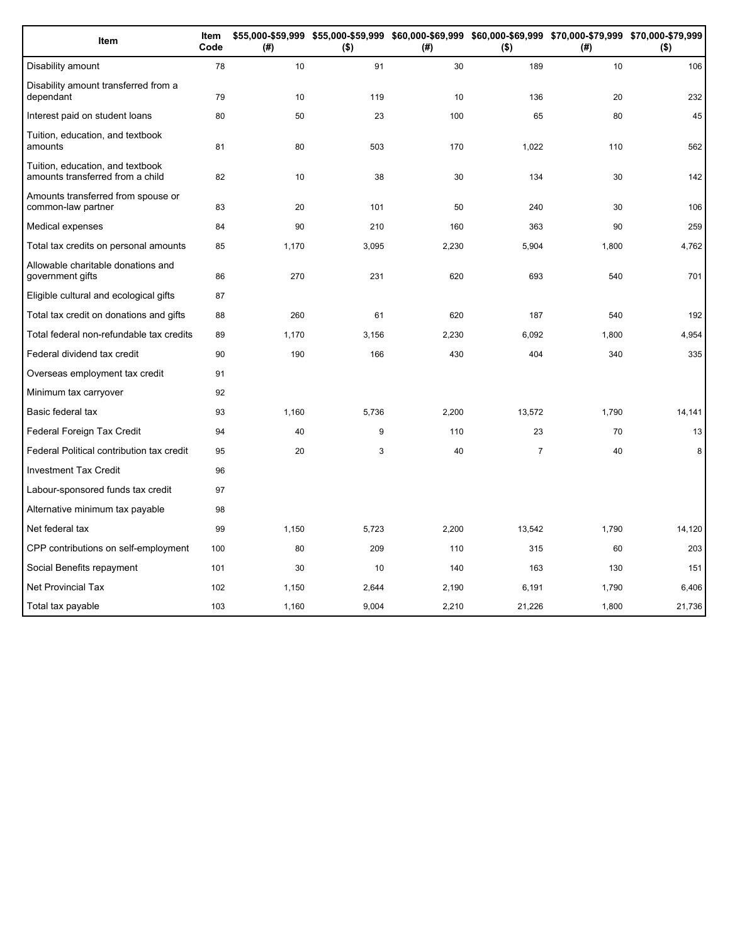| Item                                                                 | Item<br>Code | (# )  | \$55,000-\$59,999 \$55,000-\$59,999 \$60,000-\$69,999 \$60,000-\$69,999 \$70,000-\$79,999 \$70,000-\$79,999<br>$($ \$) | (# )  | $($ \$)        | (#)   | $($ \$) |
|----------------------------------------------------------------------|--------------|-------|------------------------------------------------------------------------------------------------------------------------|-------|----------------|-------|---------|
| Disability amount                                                    | 78           | 10    | 91                                                                                                                     | 30    | 189            | 10    | 106     |
| Disability amount transferred from a<br>dependant                    | 79           | 10    | 119                                                                                                                    | 10    | 136            | 20    | 232     |
| Interest paid on student loans                                       | 80           | 50    | 23                                                                                                                     | 100   | 65             | 80    | 45      |
| Tuition, education, and textbook<br>amounts                          | 81           | 80    | 503                                                                                                                    | 170   | 1,022          | 110   | 562     |
| Tuition, education, and textbook<br>amounts transferred from a child | 82           | 10    | 38                                                                                                                     | 30    | 134            | 30    | 142     |
| Amounts transferred from spouse or<br>common-law partner             | 83           | 20    | 101                                                                                                                    | 50    | 240            | 30    | 106     |
| Medical expenses                                                     | 84           | 90    | 210                                                                                                                    | 160   | 363            | 90    | 259     |
| Total tax credits on personal amounts                                | 85           | 1,170 | 3,095                                                                                                                  | 2,230 | 5,904          | 1,800 | 4,762   |
| Allowable charitable donations and<br>government gifts               | 86           | 270   | 231                                                                                                                    | 620   | 693            | 540   | 701     |
| Eligible cultural and ecological gifts                               | 87           |       |                                                                                                                        |       |                |       |         |
| Total tax credit on donations and gifts                              | 88           | 260   | 61                                                                                                                     | 620   | 187            | 540   | 192     |
| Total federal non-refundable tax credits                             | 89           | 1,170 | 3,156                                                                                                                  | 2,230 | 6,092          | 1,800 | 4,954   |
| Federal dividend tax credit                                          | 90           | 190   | 166                                                                                                                    | 430   | 404            | 340   | 335     |
| Overseas employment tax credit                                       | 91           |       |                                                                                                                        |       |                |       |         |
| Minimum tax carryover                                                | 92           |       |                                                                                                                        |       |                |       |         |
| Basic federal tax                                                    | 93           | 1,160 | 5,736                                                                                                                  | 2,200 | 13,572         | 1,790 | 14,141  |
| Federal Foreign Tax Credit                                           | 94           | 40    | 9                                                                                                                      | 110   | 23             | 70    | 13      |
| Federal Political contribution tax credit                            | 95           | 20    | 3                                                                                                                      | 40    | $\overline{7}$ | 40    | 8       |
| <b>Investment Tax Credit</b>                                         | 96           |       |                                                                                                                        |       |                |       |         |
| Labour-sponsored funds tax credit                                    | 97           |       |                                                                                                                        |       |                |       |         |
| Alternative minimum tax payable                                      | 98           |       |                                                                                                                        |       |                |       |         |
| Net federal tax                                                      | 99           | 1,150 | 5,723                                                                                                                  | 2,200 | 13,542         | 1,790 | 14,120  |
| CPP contributions on self-employment                                 | 100          | 80    | 209                                                                                                                    | 110   | 315            | 60    | 203     |
| Social Benefits repayment                                            | 101          | 30    | 10                                                                                                                     | 140   | 163            | 130   | 151     |
| <b>Net Provincial Tax</b>                                            | 102          | 1,150 | 2,644                                                                                                                  | 2,190 | 6,191          | 1,790 | 6,406   |
| Total tax payable                                                    | 103          | 1,160 | 9,004                                                                                                                  | 2,210 | 21,226         | 1,800 | 21,736  |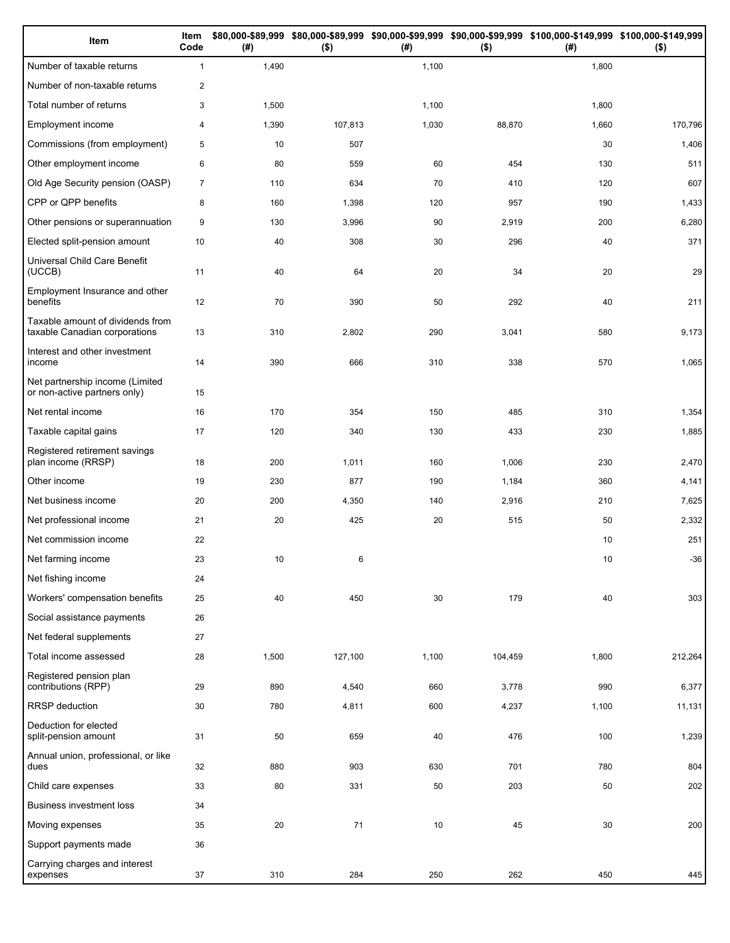| Item                                                              | Item<br>Code   | (# )  | $($ \$) | (#)   | ( \$)   | \$80,000-\$89,999 \$80,000-\$89,999 \$90,000-\$99,999 \$90,000-\$99,999 \$100,000-\$149,999 \$100,000-\$149,999<br>(#) | $($ \$) |
|-------------------------------------------------------------------|----------------|-------|---------|-------|---------|------------------------------------------------------------------------------------------------------------------------|---------|
| Number of taxable returns                                         | $\mathbf{1}$   | 1,490 |         | 1,100 |         | 1,800                                                                                                                  |         |
| Number of non-taxable returns                                     | 2              |       |         |       |         |                                                                                                                        |         |
| Total number of returns                                           | 3              | 1,500 |         | 1,100 |         | 1,800                                                                                                                  |         |
| Employment income                                                 | $\overline{4}$ | 1,390 | 107,813 | 1,030 | 88,870  | 1,660                                                                                                                  | 170,796 |
| Commissions (from employment)                                     | 5              | 10    | 507     |       |         | 30                                                                                                                     | 1,406   |
| Other employment income                                           | 6              | 80    | 559     | 60    | 454     | 130                                                                                                                    | 511     |
| Old Age Security pension (OASP)                                   | $\overline{7}$ | 110   | 634     | 70    | 410     | 120                                                                                                                    | 607     |
| CPP or QPP benefits                                               | 8              | 160   | 1,398   | 120   | 957     | 190                                                                                                                    | 1,433   |
| Other pensions or superannuation                                  | 9              | 130   | 3,996   | 90    | 2,919   | 200                                                                                                                    | 6,280   |
| Elected split-pension amount                                      | 10             | 40    | 308     | 30    | 296     | 40                                                                                                                     | 371     |
| Universal Child Care Benefit<br>(UCCB)                            | 11             | 40    | 64      | 20    | 34      | 20                                                                                                                     | 29      |
| Employment Insurance and other<br>benefits                        | 12             | 70    | 390     | 50    | 292     | 40                                                                                                                     | 211     |
| Taxable amount of dividends from<br>taxable Canadian corporations | 13             | 310   | 2,802   | 290   | 3,041   | 580                                                                                                                    | 9,173   |
| Interest and other investment<br>income                           | 14             | 390   | 666     | 310   | 338     | 570                                                                                                                    | 1,065   |
| Net partnership income (Limited<br>or non-active partners only)   | 15             |       |         |       |         |                                                                                                                        |         |
| Net rental income                                                 | 16             | 170   | 354     | 150   | 485     | 310                                                                                                                    | 1,354   |
| Taxable capital gains                                             | 17             | 120   | 340     | 130   | 433     | 230                                                                                                                    | 1,885   |
| Registered retirement savings<br>plan income (RRSP)               | 18             | 200   | 1,011   | 160   | 1,006   | 230                                                                                                                    | 2,470   |
| Other income                                                      | 19             | 230   | 877     | 190   | 1,184   | 360                                                                                                                    | 4,141   |
| Net business income                                               | 20             | 200   | 4,350   | 140   | 2,916   | 210                                                                                                                    | 7,625   |
| Net professional income                                           | 21             | 20    | 425     | 20    | 515     | 50                                                                                                                     | 2,332   |
| Net commission income                                             | 22             |       |         |       |         | 10                                                                                                                     | 251     |
| Net farming income                                                | 23             | 10    | 6       |       |         | 10                                                                                                                     | $-36$   |
| Net fishing income                                                | 24             |       |         |       |         |                                                                                                                        |         |
| Workers' compensation benefits                                    | 25             | 40    | 450     | 30    | 179     | 40                                                                                                                     | 303     |
| Social assistance payments                                        | 26             |       |         |       |         |                                                                                                                        |         |
| Net federal supplements                                           | 27             |       |         |       |         |                                                                                                                        |         |
| Total income assessed                                             | 28             | 1,500 | 127,100 | 1,100 | 104,459 | 1,800                                                                                                                  | 212,264 |
| Registered pension plan<br>contributions (RPP)                    | 29             | 890   | 4,540   | 660   | 3,778   | 990                                                                                                                    | 6,377   |
| RRSP deduction                                                    | 30             | 780   | 4,811   | 600   | 4,237   | 1,100                                                                                                                  | 11,131  |
| Deduction for elected<br>split-pension amount                     | 31             | 50    | 659     | 40    | 476     | 100                                                                                                                    | 1,239   |
| Annual union, professional, or like<br>dues                       | 32             | 880   | 903     | 630   | 701     | 780                                                                                                                    | 804     |
| Child care expenses                                               | 33             | 80    | 331     | 50    | 203     | 50                                                                                                                     | 202     |
| Business investment loss                                          | 34             |       |         |       |         |                                                                                                                        |         |
| Moving expenses                                                   | 35             | 20    | 71      | 10    | 45      | 30                                                                                                                     | 200     |
| Support payments made                                             | 36             |       |         |       |         |                                                                                                                        |         |
| Carrying charges and interest<br>expenses                         | 37             | 310   | 284     | 250   | 262     | 450                                                                                                                    | 445     |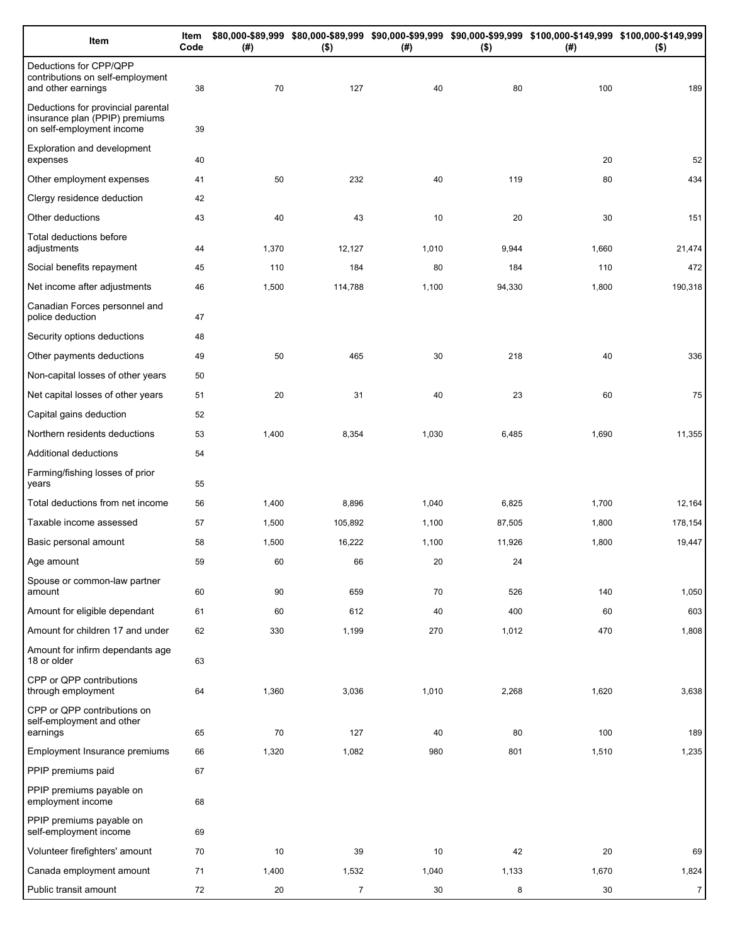| Item                                                                                              | Item<br>Code | (#)         | $($ \$)        | (#)       | $($ \$)   | \$80,000-\$89,999 \$80,000-\$89,999 \$90,000-\$99,999 \$90,000-\$99,999 \$100,000-\$149,999 \$100,000-\$149,999<br>(#) | $($ \$)        |
|---------------------------------------------------------------------------------------------------|--------------|-------------|----------------|-----------|-----------|------------------------------------------------------------------------------------------------------------------------|----------------|
| Deductions for CPP/QPP<br>contributions on self-employment<br>and other earnings                  | 38           | 70          | 127            | 40        | 80        | 100                                                                                                                    | 189            |
| Deductions for provincial parental<br>insurance plan (PPIP) premiums<br>on self-employment income | 39           |             |                |           |           |                                                                                                                        |                |
| Exploration and development<br>expenses                                                           | 40           |             |                |           |           | 20                                                                                                                     | 52             |
| Other employment expenses                                                                         | 41           | 50          | 232            | 40        | 119       | 80                                                                                                                     | 434            |
| Clergy residence deduction                                                                        | 42           |             |                |           |           |                                                                                                                        |                |
| Other deductions                                                                                  | 43           | 40          | 43             | 10        | 20        | 30                                                                                                                     | 151            |
| Total deductions before<br>adjustments                                                            | 44           | 1,370       | 12,127         | 1,010     | 9,944     | 1,660                                                                                                                  | 21,474         |
| Social benefits repayment                                                                         | 45           | 110         | 184            | 80        | 184       | 110                                                                                                                    | 472            |
| Net income after adjustments                                                                      | 46           | 1,500       | 114,788        | 1,100     | 94,330    | 1,800                                                                                                                  | 190,318        |
| Canadian Forces personnel and<br>police deduction                                                 | 47           |             |                |           |           |                                                                                                                        |                |
| Security options deductions                                                                       | 48           |             |                |           |           |                                                                                                                        |                |
| Other payments deductions                                                                         | 49           | 50          | 465            | 30        | 218       | 40                                                                                                                     | 336            |
| Non-capital losses of other years                                                                 | 50           |             |                |           |           |                                                                                                                        |                |
| Net capital losses of other years                                                                 | 51           | 20          | 31             | 40        | 23        | 60                                                                                                                     | 75             |
| Capital gains deduction                                                                           | 52           |             |                |           |           |                                                                                                                        |                |
| Northern residents deductions                                                                     | 53           | 1,400       | 8,354          | 1,030     | 6,485     | 1,690                                                                                                                  | 11,355         |
| Additional deductions                                                                             | 54           |             |                |           |           |                                                                                                                        |                |
| Farming/fishing losses of prior<br>years                                                          | 55           |             |                |           |           |                                                                                                                        |                |
| Total deductions from net income                                                                  | 56           | 1,400       | 8,896          | 1,040     | 6,825     | 1,700                                                                                                                  | 12,164         |
| Taxable income assessed                                                                           | 57           | 1,500       | 105,892        | 1,100     | 87,505    | 1,800                                                                                                                  | 178,154        |
| Basic personal amount                                                                             | 58           | 1,500       | 16,222         | 1,100     | 11,926    | 1,800                                                                                                                  | 19,447         |
| Age amount                                                                                        | 59           | 60          | 66             | 20        | $24\,$    |                                                                                                                        |                |
| Spouse or common-law partner<br>amount                                                            | 60           | 90          | 659            | 70        | 526       | 140                                                                                                                    | 1,050          |
| Amount for eligible dependant                                                                     | 61           | 60          | 612            | 40        | 400       | 60                                                                                                                     | 603            |
| Amount for children 17 and under                                                                  | 62           | 330         | 1,199          | 270       | 1,012     | 470                                                                                                                    | 1,808          |
| Amount for infirm dependants age<br>18 or older                                                   | 63           |             |                |           |           |                                                                                                                        |                |
| CPP or QPP contributions<br>through employment                                                    | 64           | 1,360       | 3,036          | 1,010     | 2,268     | 1,620                                                                                                                  | 3,638          |
| CPP or QPP contributions on<br>self-employment and other                                          |              |             |                |           |           |                                                                                                                        |                |
| earnings<br>Employment Insurance premiums                                                         | 65<br>66     | 70<br>1,320 | 127<br>1,082   | 40<br>980 | 80<br>801 | 100<br>1,510                                                                                                           | 189<br>1,235   |
| PPIP premiums paid                                                                                | 67           |             |                |           |           |                                                                                                                        |                |
| PPIP premiums payable on                                                                          |              |             |                |           |           |                                                                                                                        |                |
| employment income                                                                                 | 68           |             |                |           |           |                                                                                                                        |                |
| PPIP premiums payable on<br>self-employment income                                                | 69           |             |                |           |           |                                                                                                                        |                |
| Volunteer firefighters' amount                                                                    | 70           | 10          | 39             | 10        | 42        | 20                                                                                                                     | 69             |
| Canada employment amount                                                                          | 71           | 1,400       | 1,532          | 1,040     | 1,133     | 1,670                                                                                                                  | 1,824          |
| Public transit amount                                                                             | 72           | 20          | $\overline{7}$ | 30        | 8         | 30                                                                                                                     | $\overline{7}$ |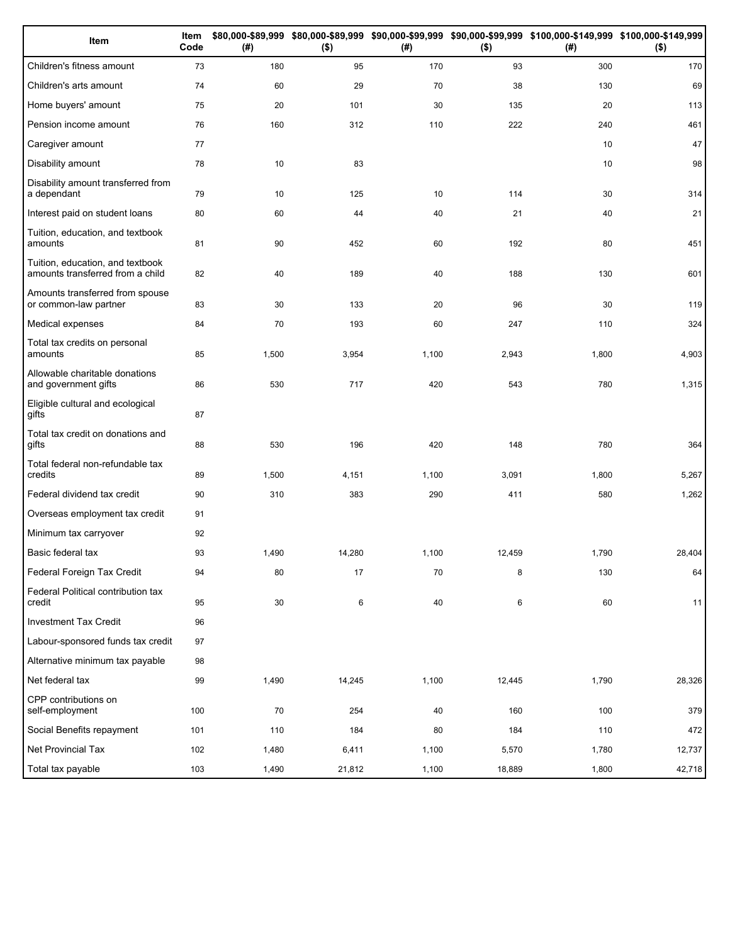| Item                                                                 | Item<br>Code | (# )  | $($ \$) | (#)   | $($ \$) | \$80,000-\$89,999 \$80,000-\$89,999 \$90,000-\$99,999 \$90,000-\$99,999 \$100,000-\$149,999 \$100,000-\$149,999<br>(#) | $($ \$) |
|----------------------------------------------------------------------|--------------|-------|---------|-------|---------|------------------------------------------------------------------------------------------------------------------------|---------|
| Children's fitness amount                                            | 73           | 180   | 95      | 170   | 93      | 300                                                                                                                    | 170     |
| Children's arts amount                                               | 74           | 60    | 29      | 70    | 38      | 130                                                                                                                    | 69      |
| Home buyers' amount                                                  | 75           | 20    | 101     | 30    | 135     | 20                                                                                                                     | 113     |
| Pension income amount                                                | 76           | 160   | 312     | 110   | 222     | 240                                                                                                                    | 461     |
| Caregiver amount                                                     | 77           |       |         |       |         | 10                                                                                                                     | 47      |
| Disability amount                                                    | 78           | 10    | 83      |       |         | 10                                                                                                                     | 98      |
| Disability amount transferred from<br>a dependant                    | 79           | 10    | 125     | 10    | 114     | 30                                                                                                                     | 314     |
| Interest paid on student loans                                       | 80           | 60    | 44      | 40    | 21      | 40                                                                                                                     | 21      |
| Tuition, education, and textbook<br>amounts                          | 81           | 90    | 452     | 60    | 192     | 80                                                                                                                     | 451     |
| Tuition, education, and textbook<br>amounts transferred from a child | 82           | 40    | 189     | 40    | 188     | 130                                                                                                                    | 601     |
| Amounts transferred from spouse<br>or common-law partner             | 83           | 30    | 133     | 20    | 96      | 30                                                                                                                     | 119     |
| Medical expenses                                                     | 84           | 70    | 193     | 60    | 247     | 110                                                                                                                    | 324     |
| Total tax credits on personal<br>amounts                             | 85           | 1,500 | 3,954   | 1,100 | 2,943   | 1,800                                                                                                                  | 4,903   |
| Allowable charitable donations<br>and government gifts               | 86           | 530   | 717     | 420   | 543     | 780                                                                                                                    | 1,315   |
| Eligible cultural and ecological<br>gifts                            | 87           |       |         |       |         |                                                                                                                        |         |
| Total tax credit on donations and<br>gifts                           | 88           | 530   | 196     | 420   | 148     | 780                                                                                                                    | 364     |
| Total federal non-refundable tax<br>credits                          | 89           | 1,500 | 4,151   | 1,100 | 3,091   | 1,800                                                                                                                  | 5,267   |
| Federal dividend tax credit                                          | 90           | 310   | 383     | 290   | 411     | 580                                                                                                                    | 1,262   |
| Overseas employment tax credit                                       | 91           |       |         |       |         |                                                                                                                        |         |
| Minimum tax carryover                                                | 92           |       |         |       |         |                                                                                                                        |         |
| Basic federal tax                                                    | 93           | 1,490 | 14,280  | 1,100 | 12,459  | 1,790                                                                                                                  | 28,404  |
| Federal Foreign Tax Credit                                           | 94           | 80    | 17      | 70    | 8       | 130                                                                                                                    | 64      |
| Federal Political contribution tax<br>credit                         | 95           | 30    | 6       | 40    | 6       | 60                                                                                                                     | 11      |
| <b>Investment Tax Credit</b>                                         | 96           |       |         |       |         |                                                                                                                        |         |
| Labour-sponsored funds tax credit                                    | 97           |       |         |       |         |                                                                                                                        |         |
| Alternative minimum tax payable                                      | 98           |       |         |       |         |                                                                                                                        |         |
| Net federal tax                                                      | 99           | 1,490 | 14,245  | 1,100 | 12,445  | 1,790                                                                                                                  | 28,326  |
| CPP contributions on<br>self-employment                              | 100          | 70    | 254     | 40    | 160     | 100                                                                                                                    | 379     |
| Social Benefits repayment                                            | 101          | 110   | 184     | 80    | 184     | 110                                                                                                                    | 472     |
| Net Provincial Tax                                                   | 102          | 1,480 | 6,411   | 1,100 | 5,570   | 1,780                                                                                                                  | 12,737  |
| Total tax payable                                                    | 103          | 1,490 | 21,812  | 1,100 | 18,889  | 1,800                                                                                                                  | 42,718  |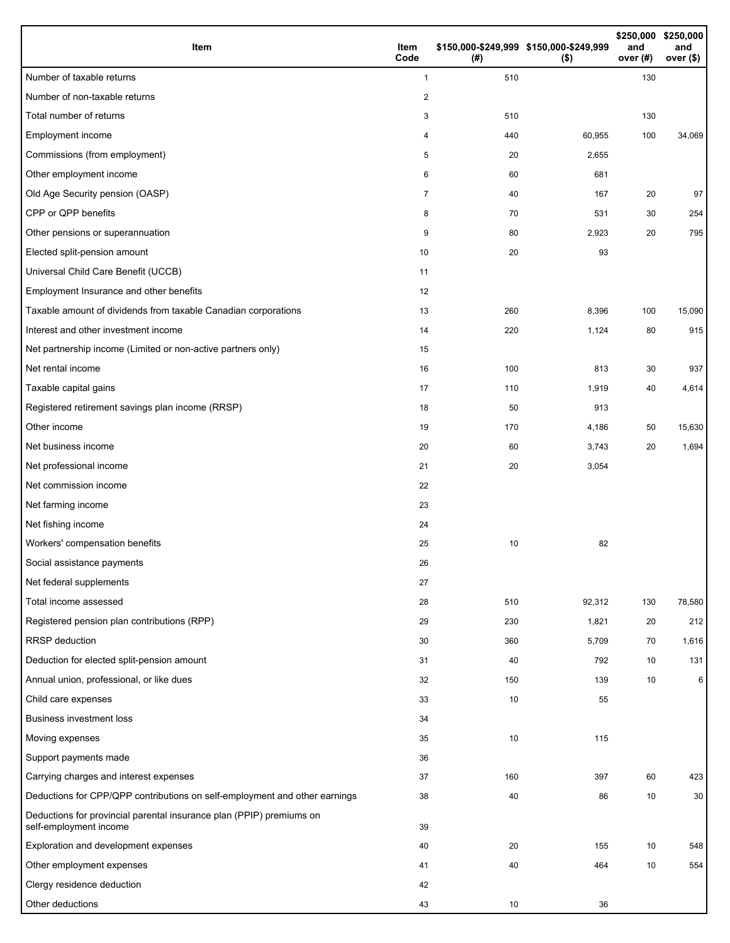| Item                                                                                           | Item<br>Code   | (#) | \$150,000-\$249,999 \$150,000-\$249,999<br>$($ \$) | and<br>over $(#)$ | \$250,000 \$250,000<br>and<br>over (\$) |
|------------------------------------------------------------------------------------------------|----------------|-----|----------------------------------------------------|-------------------|-----------------------------------------|
| Number of taxable returns                                                                      | $\mathbf{1}$   | 510 |                                                    | 130               |                                         |
| Number of non-taxable returns                                                                  | $\overline{2}$ |     |                                                    |                   |                                         |
| Total number of returns                                                                        | 3              | 510 |                                                    | 130               |                                         |
| Employment income                                                                              | 4              | 440 | 60,955                                             | 100               | 34,069                                  |
| Commissions (from employment)                                                                  | 5              | 20  | 2,655                                              |                   |                                         |
| Other employment income                                                                        | 6              | 60  | 681                                                |                   |                                         |
| Old Age Security pension (OASP)                                                                | $\overline{7}$ | 40  | 167                                                | 20                | 97                                      |
| CPP or QPP benefits                                                                            | 8              | 70  | 531                                                | 30                | 254                                     |
| Other pensions or superannuation                                                               | 9              | 80  | 2,923                                              | 20                | 795                                     |
| Elected split-pension amount                                                                   | 10             | 20  | 93                                                 |                   |                                         |
| Universal Child Care Benefit (UCCB)                                                            | 11             |     |                                                    |                   |                                         |
| Employment Insurance and other benefits                                                        | 12             |     |                                                    |                   |                                         |
| Taxable amount of dividends from taxable Canadian corporations                                 | 13             | 260 | 8,396                                              | 100               | 15,090                                  |
| Interest and other investment income                                                           | 14             | 220 | 1,124                                              | 80                | 915                                     |
| Net partnership income (Limited or non-active partners only)                                   | 15             |     |                                                    |                   |                                         |
| Net rental income                                                                              | 16             | 100 | 813                                                | 30                | 937                                     |
| Taxable capital gains                                                                          | 17             | 110 | 1,919                                              | 40                | 4,614                                   |
| Registered retirement savings plan income (RRSP)                                               | 18             | 50  | 913                                                |                   |                                         |
| Other income                                                                                   | 19             | 170 | 4,186                                              | 50                | 15,630                                  |
| Net business income                                                                            | 20             | 60  | 3,743                                              | 20                | 1,694                                   |
| Net professional income                                                                        | 21             | 20  | 3,054                                              |                   |                                         |
| Net commission income                                                                          | 22             |     |                                                    |                   |                                         |
| Net farming income                                                                             | 23             |     |                                                    |                   |                                         |
| Net fishing income                                                                             | 24             |     |                                                    |                   |                                         |
| Workers' compensation benefits                                                                 | 25             | 10  | 82                                                 |                   |                                         |
| Social assistance payments                                                                     | 26             |     |                                                    |                   |                                         |
| Net federal supplements                                                                        | 27             |     |                                                    |                   |                                         |
| Total income assessed                                                                          | 28             | 510 | 92,312                                             | 130               | 78,580                                  |
| Registered pension plan contributions (RPP)                                                    | 29             | 230 | 1,821                                              | 20                | 212                                     |
| <b>RRSP</b> deduction                                                                          | 30             | 360 | 5,709                                              | 70                | 1,616                                   |
| Deduction for elected split-pension amount                                                     | 31             | 40  | 792                                                | 10                | 131                                     |
| Annual union, professional, or like dues                                                       | 32             | 150 | 139                                                | 10                | 6                                       |
| Child care expenses                                                                            | 33             | 10  | 55                                                 |                   |                                         |
| <b>Business investment loss</b>                                                                | 34             |     |                                                    |                   |                                         |
| Moving expenses                                                                                | 35             | 10  | 115                                                |                   |                                         |
| Support payments made                                                                          | 36             |     |                                                    |                   |                                         |
| Carrying charges and interest expenses                                                         | 37             | 160 | 397                                                | 60                | 423                                     |
| Deductions for CPP/QPP contributions on self-employment and other earnings                     | 38             | 40  | 86                                                 | 10                | 30                                      |
| Deductions for provincial parental insurance plan (PPIP) premiums on<br>self-employment income | 39             |     |                                                    |                   |                                         |
| Exploration and development expenses                                                           | 40             | 20  | 155                                                | 10                | 548                                     |
| Other employment expenses                                                                      | 41             | 40  | 464                                                | 10                | 554                                     |
| Clergy residence deduction                                                                     | 42             |     |                                                    |                   |                                         |
| Other deductions                                                                               | 43             | 10  | 36                                                 |                   |                                         |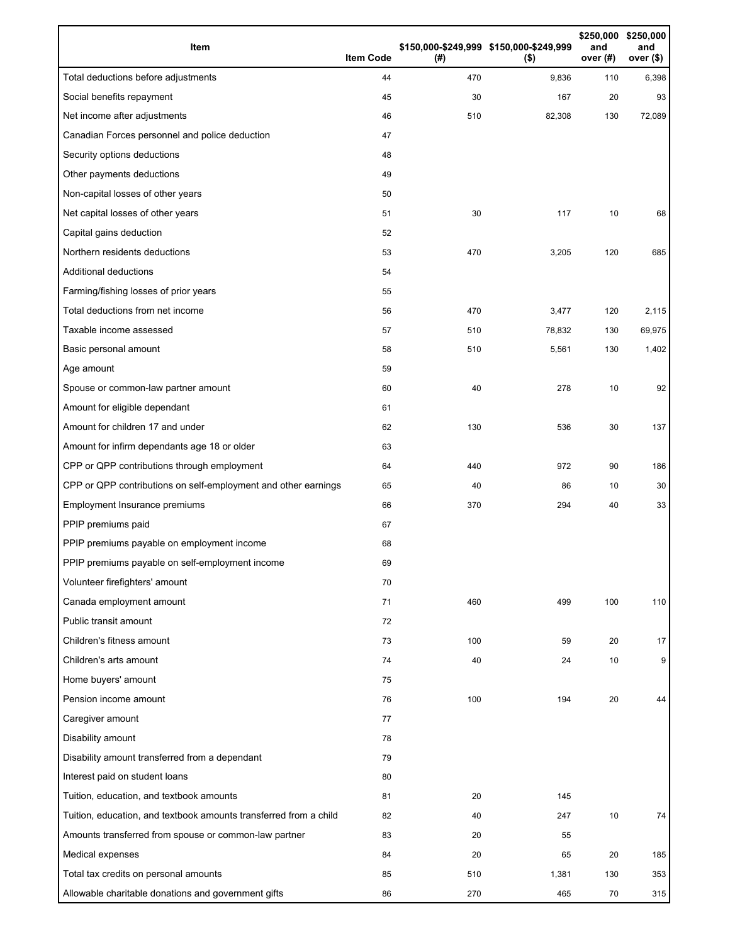| Item                                                              | <b>Item Code</b> | (# ) | \$150,000-\$249,999 \$150,000-\$249,999<br>$($ \$) | \$250,000<br>and<br>over (#) | \$250,000<br>and<br>over $($)$ |
|-------------------------------------------------------------------|------------------|------|----------------------------------------------------|------------------------------|--------------------------------|
| Total deductions before adjustments                               | 44               | 470  | 9,836                                              | 110                          | 6,398                          |
| Social benefits repayment                                         | 45               | 30   | 167                                                | 20                           | 93                             |
| Net income after adjustments                                      | 46               | 510  | 82,308                                             | 130                          | 72,089                         |
| Canadian Forces personnel and police deduction                    | 47               |      |                                                    |                              |                                |
| Security options deductions                                       | 48               |      |                                                    |                              |                                |
| Other payments deductions                                         | 49               |      |                                                    |                              |                                |
| Non-capital losses of other years                                 | 50               |      |                                                    |                              |                                |
| Net capital losses of other years                                 | 51               | 30   | 117                                                | 10                           | 68                             |
| Capital gains deduction                                           | 52               |      |                                                    |                              |                                |
| Northern residents deductions                                     | 53               | 470  | 3,205                                              | 120                          | 685                            |
| Additional deductions                                             | 54               |      |                                                    |                              |                                |
| Farming/fishing losses of prior years                             | 55               |      |                                                    |                              |                                |
| Total deductions from net income                                  | 56               | 470  | 3,477                                              | 120                          | 2,115                          |
| Taxable income assessed                                           | 57               | 510  | 78,832                                             | 130                          | 69,975                         |
| Basic personal amount                                             | 58               | 510  | 5,561                                              | 130                          | 1,402                          |
| Age amount                                                        | 59               |      |                                                    |                              |                                |
| Spouse or common-law partner amount                               | 60               | 40   | 278                                                | 10                           | 92                             |
| Amount for eligible dependant                                     | 61               |      |                                                    |                              |                                |
| Amount for children 17 and under                                  | 62               | 130  | 536                                                | 30                           | 137                            |
| Amount for infirm dependants age 18 or older                      | 63               |      |                                                    |                              |                                |
| CPP or QPP contributions through employment                       | 64               | 440  | 972                                                | 90                           | 186                            |
| CPP or QPP contributions on self-employment and other earnings    | 65               | 40   | 86                                                 | 10                           | 30                             |
| Employment Insurance premiums                                     | 66               | 370  | 294                                                | 40                           | 33                             |
| PPIP premiums paid                                                | 67               |      |                                                    |                              |                                |
| PPIP premiums payable on employment income                        | 68               |      |                                                    |                              |                                |
| PPIP premiums payable on self-employment income                   | 69               |      |                                                    |                              |                                |
| Volunteer firefighters' amount                                    | 70               |      |                                                    |                              |                                |
| Canada employment amount                                          | 71               | 460  | 499                                                | 100                          | 110                            |
| Public transit amount                                             | 72               |      |                                                    |                              |                                |
| Children's fitness amount                                         | 73               | 100  | 59                                                 | 20                           | 17                             |
| Children's arts amount                                            | 74               | 40   | 24                                                 | 10                           | 9                              |
| Home buyers' amount                                               | 75               |      |                                                    |                              |                                |
| Pension income amount                                             | 76               | 100  | 194                                                | 20                           | 44                             |
| Caregiver amount                                                  | 77               |      |                                                    |                              |                                |
| Disability amount                                                 | 78               |      |                                                    |                              |                                |
| Disability amount transferred from a dependant                    | 79               |      |                                                    |                              |                                |
| Interest paid on student loans                                    | 80               |      |                                                    |                              |                                |
| Tuition, education, and textbook amounts                          | 81               | 20   | 145                                                |                              |                                |
| Tuition, education, and textbook amounts transferred from a child | 82               | 40   | 247                                                | 10                           | 74                             |
| Amounts transferred from spouse or common-law partner             | 83               | 20   | 55                                                 |                              |                                |
| Medical expenses                                                  | 84               | 20   | 65                                                 | 20                           | 185                            |
| Total tax credits on personal amounts                             | 85               | 510  | 1,381                                              | 130                          | 353                            |
| Allowable charitable donations and government gifts               | 86               | 270  | 465                                                | 70                           | 315                            |